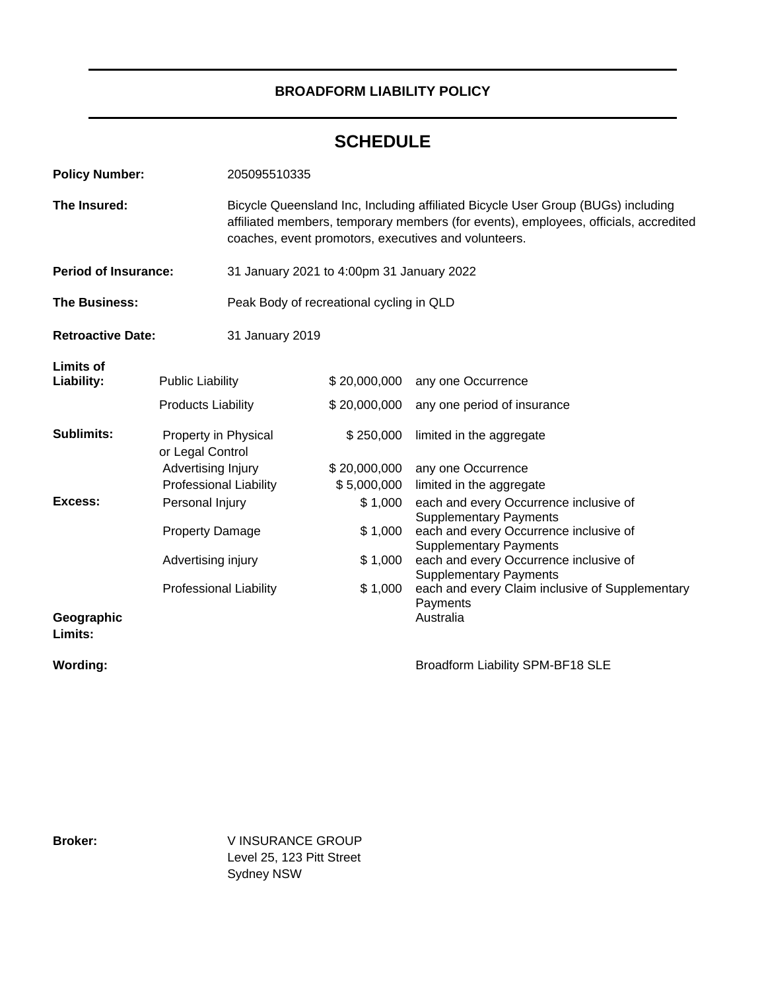# **BROADFORM LIABILITY POLICY**

# **SCHEDULE**

| <b>Policy Number:</b>                                     |                                                     | 205095510335                                                                                                                                                                                                                     |                             |                                                                         |
|-----------------------------------------------------------|-----------------------------------------------------|----------------------------------------------------------------------------------------------------------------------------------------------------------------------------------------------------------------------------------|-----------------------------|-------------------------------------------------------------------------|
| The Insured:                                              |                                                     | Bicycle Queensland Inc, Including affiliated Bicycle User Group (BUGs) including<br>affiliated members, temporary members (for events), employees, officials, accredited<br>coaches, event promotors, executives and volunteers. |                             |                                                                         |
| <b>Period of Insurance:</b>                               |                                                     | 31 January 2021 to 4:00pm 31 January 2022                                                                                                                                                                                        |                             |                                                                         |
| <b>The Business:</b>                                      |                                                     | Peak Body of recreational cycling in QLD                                                                                                                                                                                         |                             |                                                                         |
| <b>Retroactive Date:</b>                                  |                                                     | 31 January 2019                                                                                                                                                                                                                  |                             |                                                                         |
| <b>Limits of</b><br>Liability:<br><b>Public Liability</b> |                                                     |                                                                                                                                                                                                                                  | \$20,000,000                | any one Occurrence                                                      |
|                                                           | <b>Products Liability</b>                           |                                                                                                                                                                                                                                  | \$20,000,000                | any one period of insurance                                             |
| <b>Sublimits:</b>                                         | Property in Physical<br>or Legal Control            |                                                                                                                                                                                                                                  | \$250,000                   | limited in the aggregate                                                |
|                                                           | Advertising Injury<br><b>Professional Liability</b> |                                                                                                                                                                                                                                  | \$20,000,000<br>\$5,000,000 | any one Occurrence<br>limited in the aggregate                          |
| Excess:                                                   | Personal Injury                                     |                                                                                                                                                                                                                                  | \$1,000                     | each and every Occurrence inclusive of<br><b>Supplementary Payments</b> |
|                                                           | <b>Property Damage</b>                              |                                                                                                                                                                                                                                  | \$1,000                     | each and every Occurrence inclusive of<br><b>Supplementary Payments</b> |
|                                                           | Advertising injury                                  |                                                                                                                                                                                                                                  | \$1,000                     | each and every Occurrence inclusive of<br><b>Supplementary Payments</b> |
|                                                           | <b>Professional Liability</b>                       |                                                                                                                                                                                                                                  | \$1,000                     | each and every Claim inclusive of Supplementary<br>Payments             |
| Geographic<br>Limits:                                     |                                                     |                                                                                                                                                                                                                                  |                             | Australia                                                               |

Wording: Wording: **Broadform Liability SPM-BF18 SLE** 

**Broker:** V INSURANCE GROUP Level 25, 123 Pitt Street Sydney NSW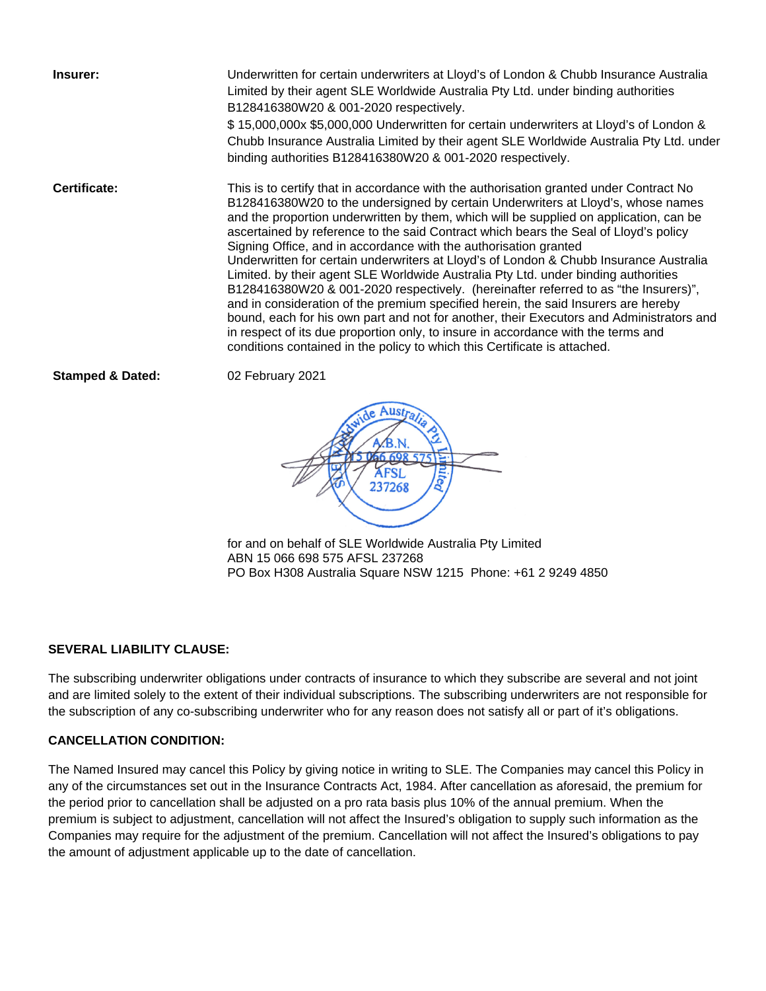**Insurer:** Underwritten for certain underwriters at Lloyd's of London & Chubb Insurance Australia Limited by their agent SLE Worldwide Australia Pty Ltd. under binding authorities B128416380W20 & 001-2020 respectively. \$ 15,000,000x \$5,000,000 Underwritten for certain underwriters at Lloyd's of London & Chubb Insurance Australia Limited by their agent SLE Worldwide Australia Pty Ltd. under binding authorities B128416380W20 & 001-2020 respectively. **Certificate:** This is to certify that in accordance with the authorisation granted under Contract No B128416380W20 to the undersigned by certain Underwriters at Lloyd's, whose names and the proportion underwritten by them, which will be supplied on application, can be ascertained by reference to the said Contract which bears the Seal of Lloyd's policy Signing Office, and in accordance with the authorisation granted Underwritten for certain underwriters at Lloyd's of London & Chubb Insurance Australia Limited. by their agent SLE Worldwide Australia Pty Ltd. under binding authorities B128416380W20 & 001-2020 respectively. (hereinafter referred to as "the Insurers)", and in consideration of the premium specified herein, the said Insurers are hereby bound, each for his own part and not for another, their Executors and Administrators and in respect of its due proportion only, to insure in accordance with the terms and conditions contained in the policy to which this Certificate is attached.

**Stamped & Dated:** 02 February 2021



for and on behalf of SLE Worldwide Australia Pty Limited ABN 15 066 698 575 AFSL 237268 PO Box H308 Australia Square NSW 1215 Phone: +61 2 9249 4850

# **SEVERAL LIABILITY CLAUSE:**

The subscribing underwriter obligations under contracts of insurance to which they subscribe are several and not joint and are limited solely to the extent of their individual subscriptions. The subscribing underwriters are not responsible for the subscription of any co-subscribing underwriter who for any reason does not satisfy all or part of it's obligations.

# **CANCELLATION CONDITION:**

The Named Insured may cancel this Policy by giving notice in writing to SLE. The Companies may cancel this Policy in any of the circumstances set out in the Insurance Contracts Act, 1984. After cancellation as aforesaid, the premium for the period prior to cancellation shall be adjusted on a pro rata basis plus 10% of the annual premium. When the premium is subject to adjustment, cancellation will not affect the Insured's obligation to supply such information as the Companies may require for the adjustment of the premium. Cancellation will not affect the Insured's obligations to pay the amount of adjustment applicable up to the date of cancellation.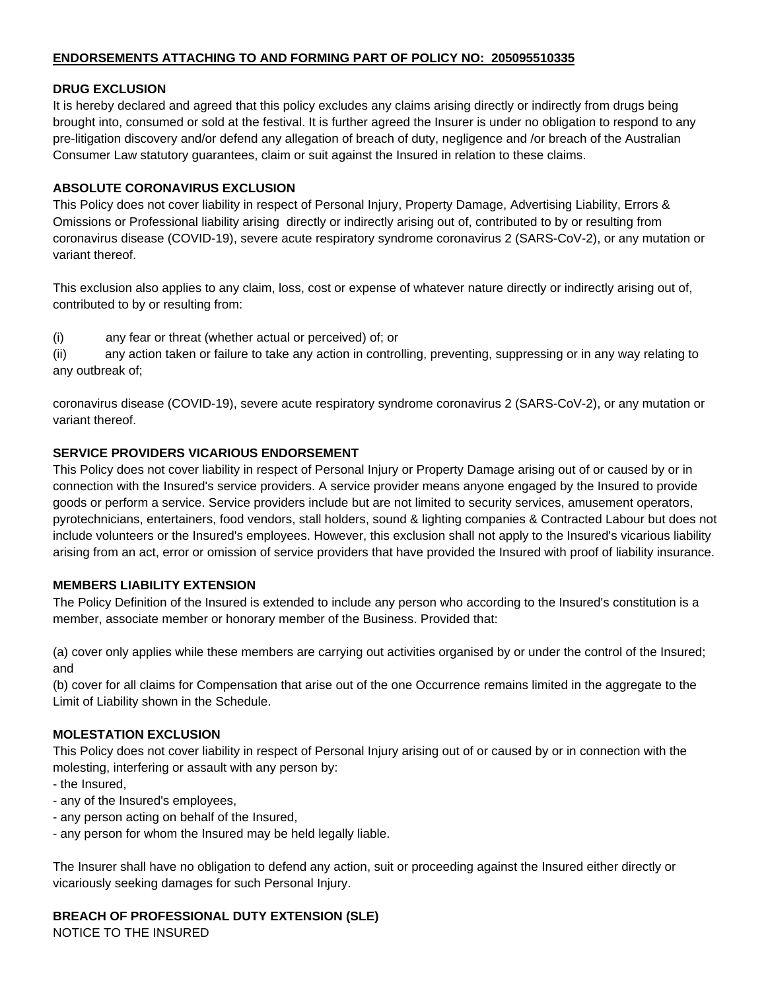# **ENDORSEMENTS ATTACHING TO AND FORMING PART OF POLICY NO: 205095510335**

### **DRUG EXCLUSION**

It is hereby declared and agreed that this policy excludes any claims arising directly or indirectly from drugs being brought into, consumed or sold at the festival. It is further agreed the Insurer is under no obligation to respond to any pre-litigation discovery and/or defend any allegation of breach of duty, negligence and /or breach of the Australian Consumer Law statutory guarantees, claim or suit against the Insured in relation to these claims.

### **ABSOLUTE CORONAVIRUS EXCLUSION**

This Policy does not cover liability in respect of Personal Injury, Property Damage, Advertising Liability, Errors & Omissions or Professional liability arising directly or indirectly arising out of, contributed to by or resulting from coronavirus disease (COVID-19), severe acute respiratory syndrome coronavirus 2 (SARS-CoV-2), or any mutation or variant thereof.

This exclusion also applies to any claim, loss, cost or expense of whatever nature directly or indirectly arising out of, contributed to by or resulting from:

(i) any fear or threat (whether actual or perceived) of; or

(ii) any action taken or failure to take any action in controlling, preventing, suppressing or in any way relating to any outbreak of;

coronavirus disease (COVID-19), severe acute respiratory syndrome coronavirus 2 (SARS-CoV-2), or any mutation or variant thereof.

# **SERVICE PROVIDERS VICARIOUS ENDORSEMENT**

This Policy does not cover liability in respect of Personal Injury or Property Damage arising out of or caused by or in connection with the Insured's service providers. A service provider means anyone engaged by the Insured to provide goods or perform a service. Service providers include but are not limited to security services, amusement operators, pyrotechnicians, entertainers, food vendors, stall holders, sound & lighting companies & Contracted Labour but does not include volunteers or the Insured's employees. However, this exclusion shall not apply to the Insured's vicarious liability arising from an act, error or omission of service providers that have provided the Insured with proof of liability insurance.

# **MEMBERS LIABILITY EXTENSION**

The Policy Definition of the Insured is extended to include any person who according to the Insured's constitution is a member, associate member or honorary member of the Business. Provided that:

(a) cover only applies while these members are carrying out activities organised by or under the control of the Insured; and

(b) cover for all claims for Compensation that arise out of the one Occurrence remains limited in the aggregate to the Limit of Liability shown in the Schedule.

# **MOLESTATION EXCLUSION**

This Policy does not cover liability in respect of Personal Injury arising out of or caused by or in connection with the molesting, interfering or assault with any person by:

- the Insured,
- any of the Insured's employees,
- any person acting on behalf of the Insured,
- any person for whom the Insured may be held legally liable.

The Insurer shall have no obligation to defend any action, suit or proceeding against the Insured either directly or vicariously seeking damages for such Personal Injury.

# **BREACH OF PROFESSIONAL DUTY EXTENSION (SLE)**

NOTICE TO THE INSURED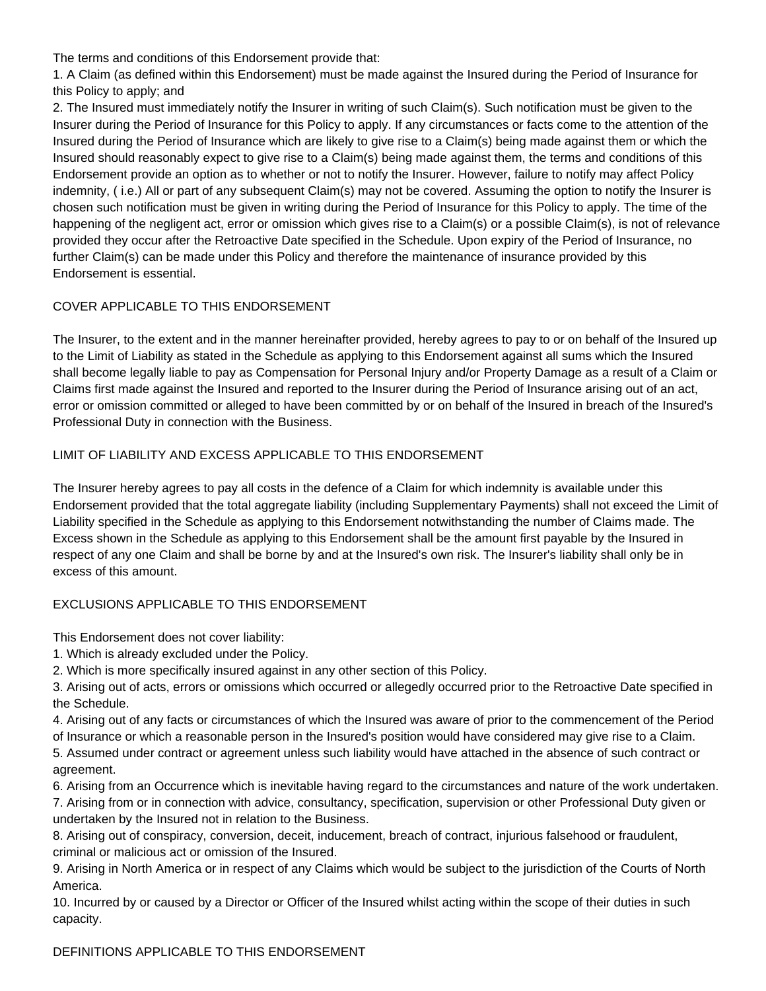The terms and conditions of this Endorsement provide that:

1. A Claim (as defined within this Endorsement) must be made against the Insured during the Period of Insurance for this Policy to apply; and

2. The Insured must immediately notify the Insurer in writing of such Claim(s). Such notification must be given to the Insurer during the Period of Insurance for this Policy to apply. If any circumstances or facts come to the attention of the Insured during the Period of Insurance which are likely to give rise to a Claim(s) being made against them or which the Insured should reasonably expect to give rise to a Claim(s) being made against them, the terms and conditions of this Endorsement provide an option as to whether or not to notify the Insurer. However, failure to notify may affect Policy indemnity, ( i.e.) All or part of any subsequent Claim(s) may not be covered. Assuming the option to notify the Insurer is chosen such notification must be given in writing during the Period of Insurance for this Policy to apply. The time of the happening of the negligent act, error or omission which gives rise to a Claim(s) or a possible Claim(s), is not of relevance provided they occur after the Retroactive Date specified in the Schedule. Upon expiry of the Period of Insurance, no further Claim(s) can be made under this Policy and therefore the maintenance of insurance provided by this Endorsement is essential.

# COVER APPLICABLE TO THIS ENDORSEMENT

The Insurer, to the extent and in the manner hereinafter provided, hereby agrees to pay to or on behalf of the Insured up to the Limit of Liability as stated in the Schedule as applying to this Endorsement against all sums which the Insured shall become legally liable to pay as Compensation for Personal Injury and/or Property Damage as a result of a Claim or Claims first made against the Insured and reported to the Insurer during the Period of Insurance arising out of an act, error or omission committed or alleged to have been committed by or on behalf of the Insured in breach of the Insured's Professional Duty in connection with the Business.

# LIMIT OF LIABILITY AND EXCESS APPLICABLE TO THIS ENDORSEMENT

The Insurer hereby agrees to pay all costs in the defence of a Claim for which indemnity is available under this Endorsement provided that the total aggregate liability (including Supplementary Payments) shall not exceed the Limit of Liability specified in the Schedule as applying to this Endorsement notwithstanding the number of Claims made. The Excess shown in the Schedule as applying to this Endorsement shall be the amount first payable by the Insured in respect of any one Claim and shall be borne by and at the Insured's own risk. The Insurer's liability shall only be in excess of this amount.

# EXCLUSIONS APPLICABLE TO THIS ENDORSEMENT

This Endorsement does not cover liability:

- 1. Which is already excluded under the Policy.
- 2. Which is more specifically insured against in any other section of this Policy.

3. Arising out of acts, errors or omissions which occurred or allegedly occurred prior to the Retroactive Date specified in the Schedule.

4. Arising out of any facts or circumstances of which the Insured was aware of prior to the commencement of the Period of Insurance or which a reasonable person in the Insured's position would have considered may give rise to a Claim.

5. Assumed under contract or agreement unless such liability would have attached in the absence of such contract or agreement.

6. Arising from an Occurrence which is inevitable having regard to the circumstances and nature of the work undertaken. 7. Arising from or in connection with advice, consultancy, specification, supervision or other Professional Duty given or undertaken by the Insured not in relation to the Business.

8. Arising out of conspiracy, conversion, deceit, inducement, breach of contract, injurious falsehood or fraudulent, criminal or malicious act or omission of the Insured.

9. Arising in North America or in respect of any Claims which would be subject to the jurisdiction of the Courts of North America.

10. Incurred by or caused by a Director or Officer of the Insured whilst acting within the scope of their duties in such capacity.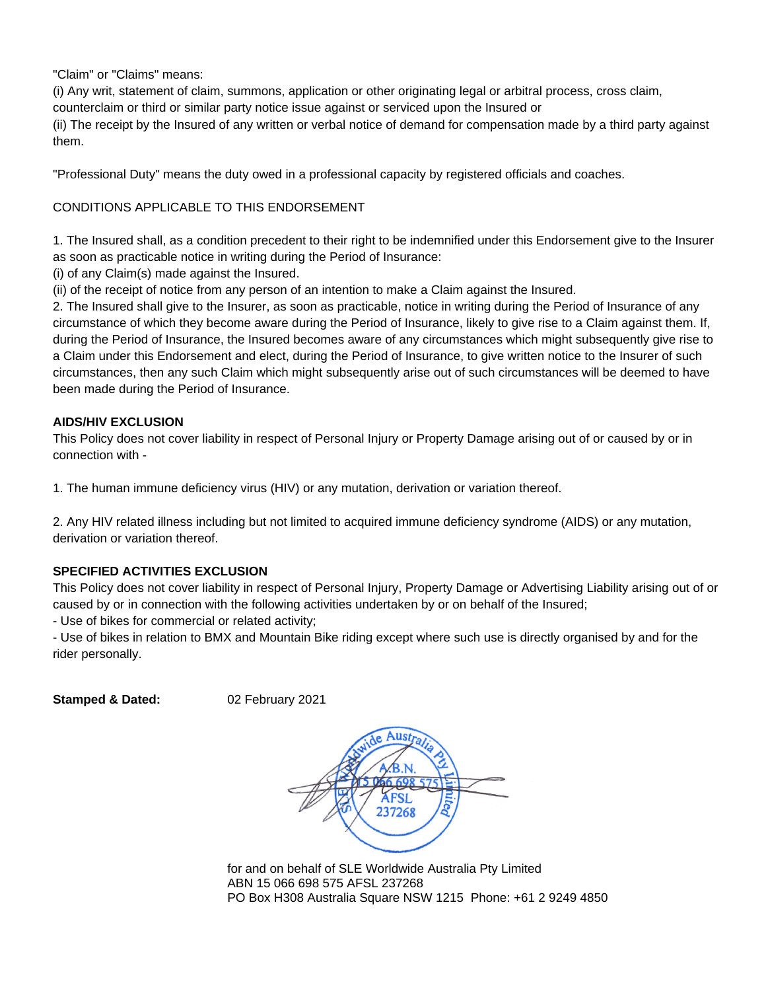"Claim" or "Claims" means:

(i) Any writ, statement of claim, summons, application or other originating legal or arbitral process, cross claim, counterclaim or third or similar party notice issue against or serviced upon the Insured or (ii) The receipt by the Insured of any written or verbal notice of demand for compensation made by a third party against them.

"Professional Duty" means the duty owed in a professional capacity by registered officials and coaches.

# CONDITIONS APPLICABLE TO THIS ENDORSEMENT

1. The Insured shall, as a condition precedent to their right to be indemnified under this Endorsement give to the Insurer as soon as practicable notice in writing during the Period of Insurance:

(i) of any Claim(s) made against the Insured.

(ii) of the receipt of notice from any person of an intention to make a Claim against the Insured.

2. The Insured shall give to the Insurer, as soon as practicable, notice in writing during the Period of Insurance of any circumstance of which they become aware during the Period of Insurance, likely to give rise to a Claim against them. If, during the Period of Insurance, the Insured becomes aware of any circumstances which might subsequently give rise to a Claim under this Endorsement and elect, during the Period of Insurance, to give written notice to the Insurer of such circumstances, then any such Claim which might subsequently arise out of such circumstances will be deemed to have been made during the Period of Insurance.

# **AIDS/HIV EXCLUSION**

This Policy does not cover liability in respect of Personal Injury or Property Damage arising out of or caused by or in connection with -

1. The human immune deficiency virus (HIV) or any mutation, derivation or variation thereof.

2. Any HIV related illness including but not limited to acquired immune deficiency syndrome (AIDS) or any mutation, derivation or variation thereof.

# **SPECIFIED ACTIVITIES EXCLUSION**

This Policy does not cover liability in respect of Personal Injury, Property Damage or Advertising Liability arising out of or caused by or in connection with the following activities undertaken by or on behalf of the Insured;

- Use of bikes for commercial or related activity;

- Use of bikes in relation to BMX and Mountain Bike riding except where such use is directly organised by and for the rider personally.

**Stamped & Dated:** 02 February 2021



for and on behalf of SLE Worldwide Australia Pty Limited ABN 15 066 698 575 AFSL 237268 PO Box H308 Australia Square NSW 1215 Phone: +61 2 9249 4850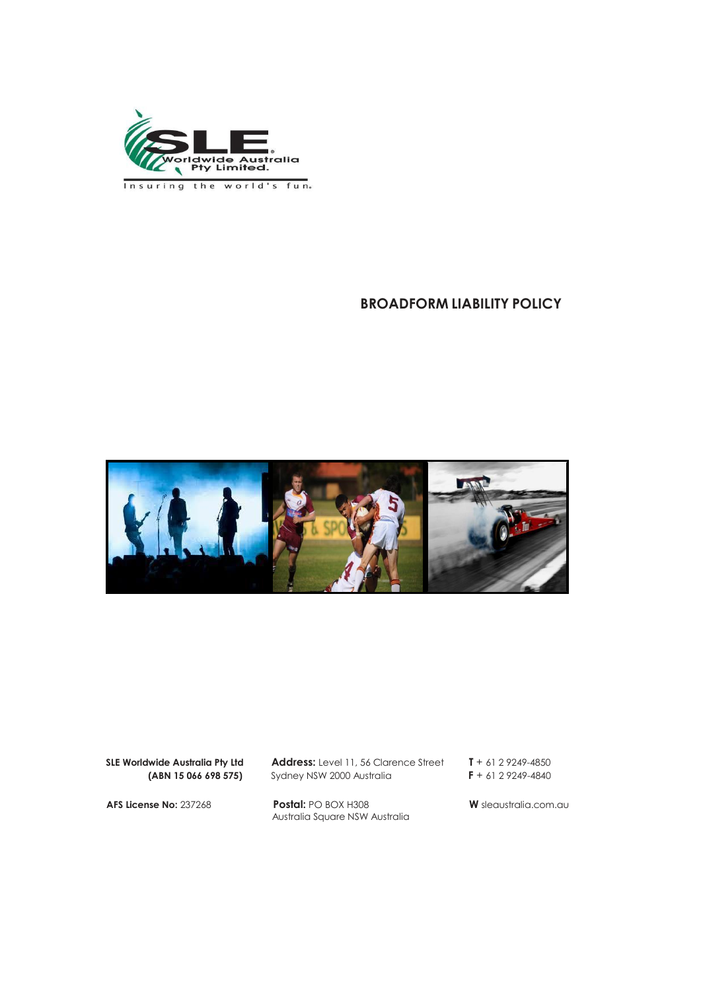

Insuring the world's fun.

# **BROADFORM LIABILITY POLICY**



**SLE Worldwide Australia Pty Ltd Address:** Level 11, 56 Clarence Street **T** + 61 2 9249-4850

**(ABN 15 066 698 575)** Sydney NSW 2000 Australia **F** + 61 2 9249-4840

**AFS License No:** 237268 **Postal:** PO BOX H308 **W** sleaustralia.com.au Australia Square NSW Australia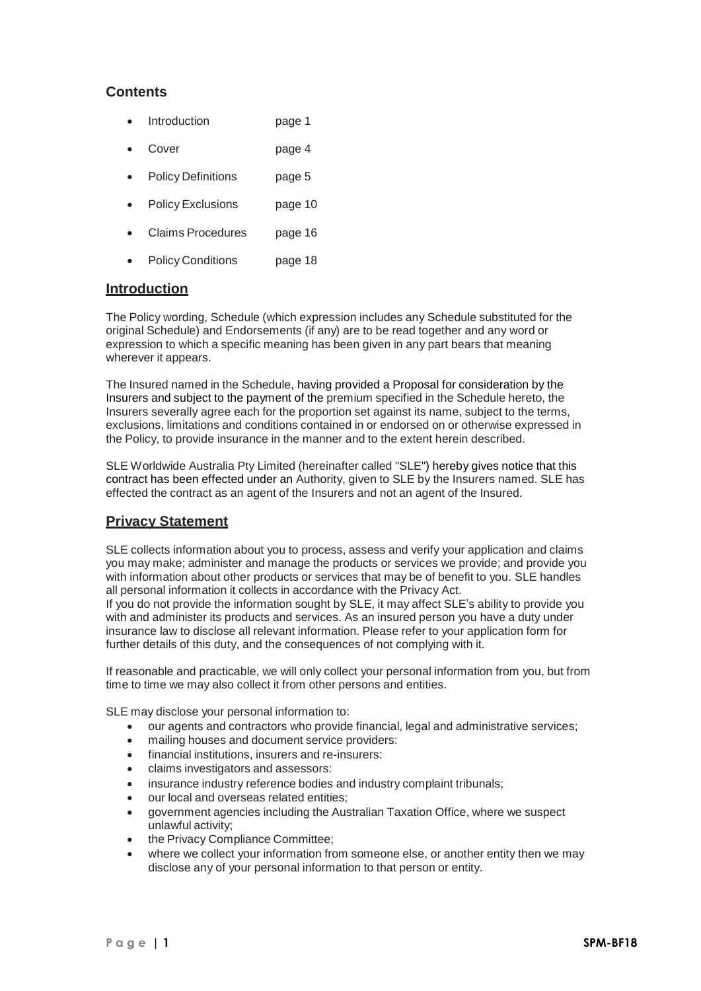# **Contents**

- Introduction page 1
- Cover page 4
- Policy Definitions page 5
- Policy Exclusions page 10
- Claims Procedures page 16
- Policy Conditions page 18

# **Introduction**

The Policy wording, Schedule (which expression includes any Schedule substituted for the original Schedule) and Endorsements (if any) are to be read together and any word or expression to which a specific meaning has been given in any part bears that meaning wherever it appears.

The Insured named in the Schedule, having provided a Proposal for consideration by the Insurers and subject to the payment of the premium specified in the Schedule hereto, the Insurers severally agree each for the proportion set against its name, subject to the terms, exclusions, limitations and conditions contained in or endorsed on or otherwise expressed in the Policy, to provide insurance in the manner and to the extent herein described.

SLE Worldwide Australia Pty Limited (hereinafter called "SLE") hereby gives notice that this contract has been effected under an Authority, given to SLE by the Insurers named. SLE has effected the contract as an agent of the Insurers and not an agent of the Insured.

# **Privacy Statement**

SLE collects information about you to process, assess and verify your application and claims you may make; administer and manage the products or services we provide; and provide you with information about other products or services that may be of benefit to you. SLE handles all personal information it collects in accordance with the Privacy Act.

If you do not provide the information sought by SLE, it may affect SLE's ability to provide you with and administer its products and services. As an insured person you have a duty under insurance law to disclose all relevant information. Please refer to your application form for further details of this duty, and the consequences of not complying with it.

If reasonable and practicable, we will only collect your personal information from you, but from time to time we may also collect it from other persons and entities.

SLE may disclose your personal information to:

- our agents and contractors who provide financial, legal and administrative services;
- mailing houses and document service providers:
- financial institutions, insurers and re-insurers:
- claims investigators and assessors:
- insurance industry reference bodies and industry complaint tribunals;
- our local and overseas related entities;
- government agencies including the Australian Taxation Office, where we suspect unlawful activity;
- the Privacy Compliance Committee;
- where we collect your information from someone else, or another entity then we may disclose any of your personal information to that person or entity.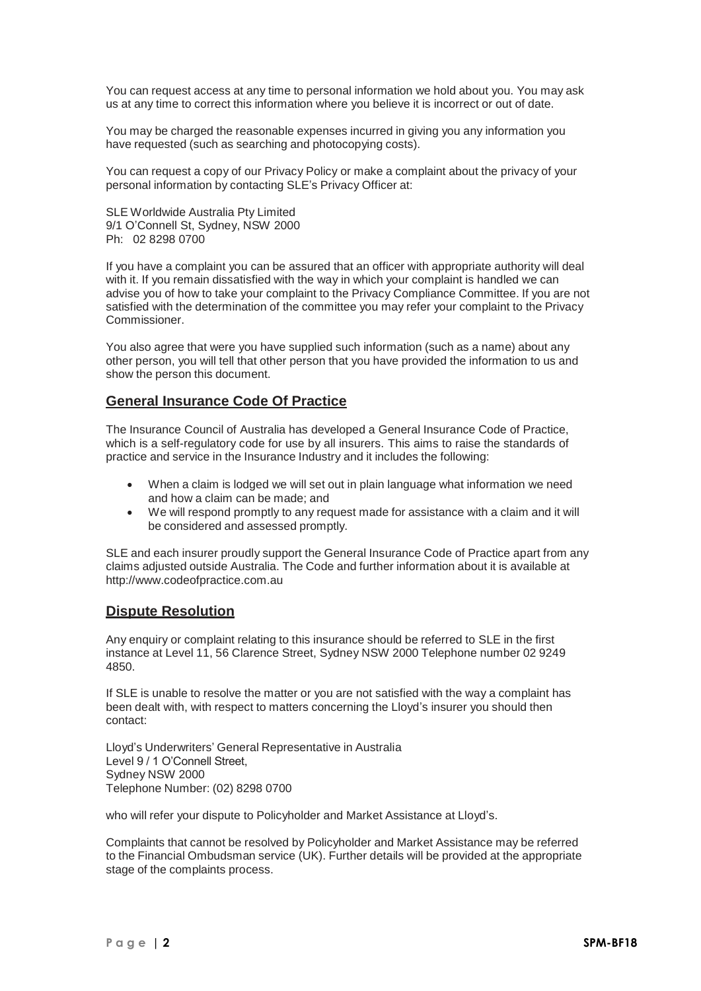You can request access at any time to personal information we hold about you. You may ask us at any time to correct this information where you believe it is incorrect or out of date.

You may be charged the reasonable expenses incurred in giving you any information you have requested (such as searching and photocopying costs).

You can request a copy of our Privacy Policy or make a complaint about the privacy of your personal information by contacting SLE's Privacy Officer at:

SLE Worldwide Australia Pty Limited 9/1 O'Connell St, Sydney, NSW 2000 Ph: 02 8298 0700

If you have a complaint you can be assured that an officer with appropriate authority will deal with it. If you remain dissatisfied with the way in which your complaint is handled we can advise you of how to take your complaint to the Privacy Compliance Committee. If you are not satisfied with the determination of the committee you may refer your complaint to the Privacy Commissioner.

You also agree that were you have supplied such information (such as a name) about any other person, you will tell that other person that you have provided the information to us and show the person this document.

# **General Insurance Code Of Practice**

The Insurance Council of Australia has developed a General Insurance Code of Practice, which is a self-regulatory code for use by all insurers. This aims to raise the standards of practice and service in the Insurance Industry and it includes the following:

- When a claim is lodged we will set out in plain language what information we need and how a claim can be made; and
- We will respond promptly to any request made for assistance with a claim and it will be considered and assessed promptly.

SLE and each insurer proudly support the General Insurance Code of Practice apart from any claims adjusted outside Australia. The Code and further information about it is available a[t](http://www.codeofpractice.com.au/) [http://www.codeofpractice.com.au](http://www.codeofpractice.com.au/)

# **Dispute Resolution**

Any enquiry or complaint relating to this insurance should be referred to SLE in the first instance at Level 11, 56 Clarence Street, Sydney NSW 2000 Telephone number 02 9249 4850.

If SLE is unable to resolve the matter or you are not satisfied with the way a complaint has been dealt with, with respect to matters concerning the Lloyd's insurer you should then contact:

Lloyd's Underwriters' General Representative in Australia Level 9 / 1 O'Connell Street, Sydney NSW 2000 Telephone Number: (02) 8298 0700

who will refer your dispute to Policyholder and Market Assistance at Lloyd's.

Complaints that cannot be resolved by Policyholder and Market Assistance may be referred to the Financial Ombudsman service (UK). Further details will be provided at the appropriate stage of the complaints process.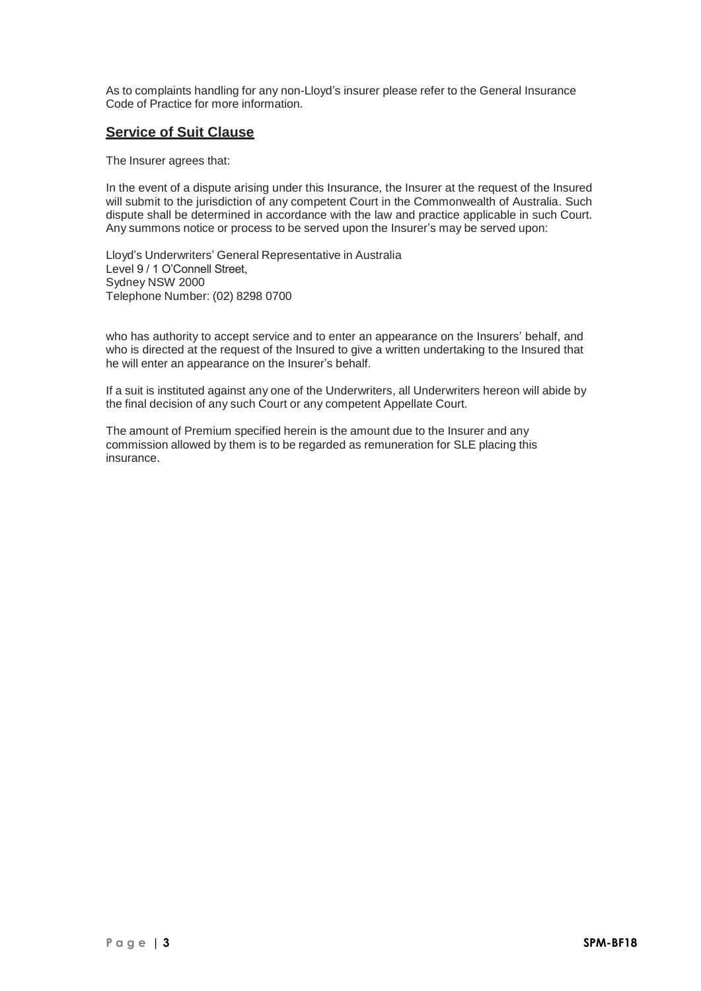As to complaints handling for any non-Lloyd's insurer please refer to the General Insurance Code of Practice for more information.

# **Service of Suit Clause**

The Insurer agrees that:

In the event of a dispute arising under this Insurance, the Insurer at the request of the Insured will submit to the jurisdiction of any competent Court in the Commonwealth of Australia. Such dispute shall be determined in accordance with the law and practice applicable in such Court. Any summons notice or process to be served upon the Insurer's may be served upon:

Lloyd's Underwriters' General Representative in Australia Level 9 / 1 O'Connell Street. Sydney NSW 2000 Telephone Number: (02) 8298 0700

who has authority to accept service and to enter an appearance on the Insurers' behalf, and who is directed at the request of the Insured to give a written undertaking to the Insured that he will enter an appearance on the Insurer's behalf.

If a suit is instituted against any one of the Underwriters, all Underwriters hereon will abide by the final decision of any such Court or any competent Appellate Court.

The amount of Premium specified herein is the amount due to the Insurer and any commission allowed by them is to be regarded as remuneration for SLE placing this insurance.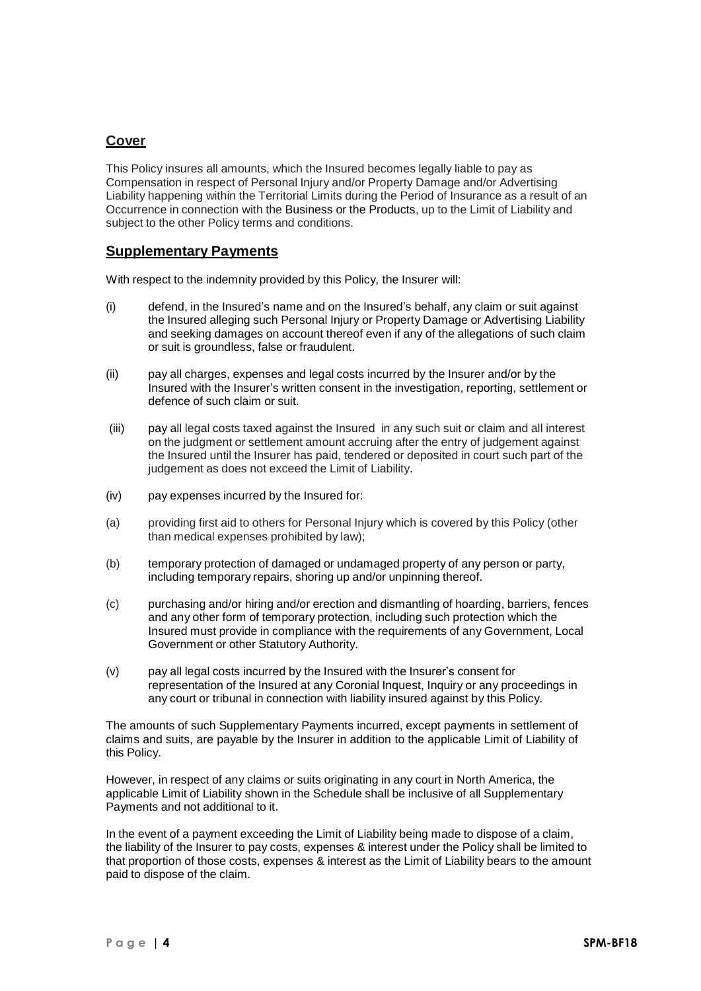# **Cover**

This Policy insures all amounts, which the Insured becomes legally liable to pay as Compensation in respect of Personal Injury and/or Property Damage and/or Advertising Liability happening within the Territorial Limits during the Period of Insurance as a result of an Occurrence in connection with the Business or the Products, up to the Limit of Liability and subject to the other Policy terms and conditions.

# **Supplementary Payments**

With respect to the indemnity provided by this Policy, the Insurer will:

- (i) defend, in the Insured's name and on the Insured's behalf, any claim or suit against the Insured alleging such Personal Injury or Property Damage or Advertising Liability and seeking damages on account thereof even if any of the allegations of such claim or suit is groundless, false or fraudulent.
- (ii) pay all charges, expenses and legal costs incurred by the Insurer and/or by the Insured with the Insurer's written consent in the investigation, reporting, settlement or defence of such claim or suit.
- (iii) pay all legal costs taxed against the Insured in any such suit or claim and all interest on the judgment or settlement amount accruing after the entry of judgement against the Insured until the Insurer has paid, tendered or deposited in court such part of the judgement as does not exceed the Limit of Liability.
- (iv) pay expenses incurred by the Insured for:
- (a) providing first aid to others for Personal Injury which is covered by this Policy (other than medical expenses prohibited by law);
- (b) temporary protection of damaged or undamaged property of any person or party, including temporary repairs, shoring up and/or unpinning thereof.
- (c) purchasing and/or hiring and/or erection and dismantling of hoarding, barriers, fences and any other form of temporary protection, including such protection which the Insured must provide in compliance with the requirements of any Government, Local Government or other Statutory Authority.
- (v) pay all legal costs incurred by the Insured with the Insurer's consent for representation of the Insured at any Coronial Inquest, Inquiry or any proceedings in any court or tribunal in connection with liability insured against by this Policy.

The amounts of such Supplementary Payments incurred, except payments in settlement of claims and suits, are payable by the Insurer in addition to the applicable Limit of Liability of this Policy.

However, in respect of any claims or suits originating in any court in North America, the applicable Limit of Liability shown in the Schedule shall be inclusive of all Supplementary Payments and not additional to it.

In the event of a payment exceeding the Limit of Liability being made to dispose of a claim, the liability of the Insurer to pay costs, expenses & interest under the Policy shall be limited to that proportion of those costs, expenses & interest as the Limit of Liability bears to the amount paid to dispose of the claim.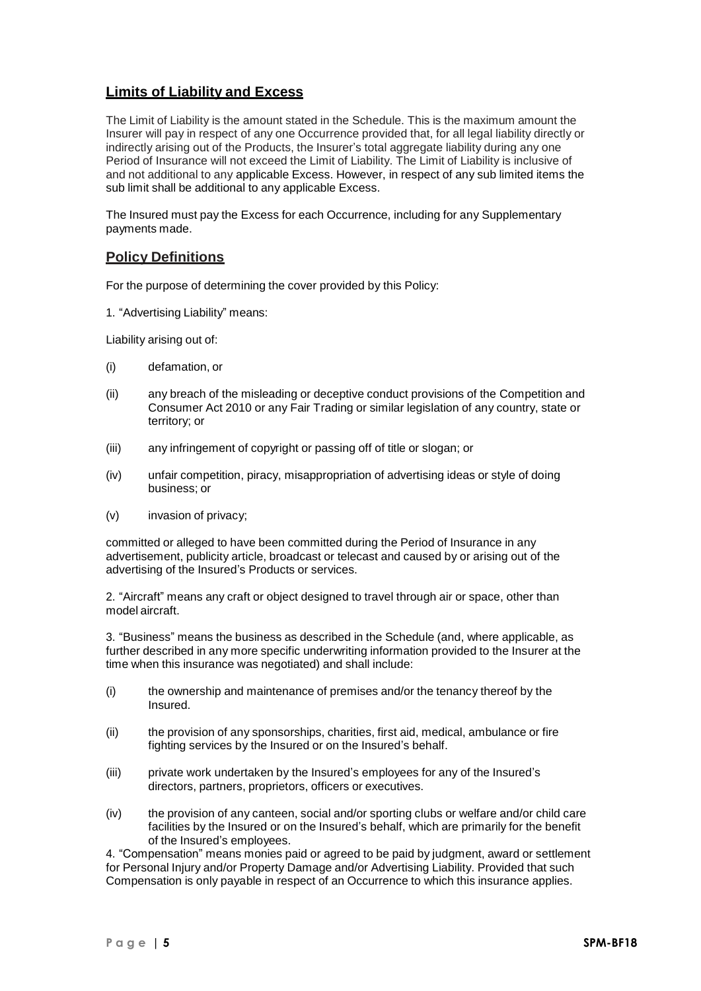# **Limits of Liability and Excess**

The Limit of Liability is the amount stated in the Schedule. This is the maximum amount the Insurer will pay in respect of any one Occurrence provided that, for all legal liability directly or indirectly arising out of the Products, the Insurer's total aggregate liability during any one Period of Insurance will not exceed the Limit of Liability. The Limit of Liability is inclusive of and not additional to any applicable Excess. However, in respect of any sub limited items the sub limit shall be additional to any applicable Excess.

The Insured must pay the Excess for each Occurrence, including for any Supplementary payments made.

# **Policy Definitions**

For the purpose of determining the cover provided by this Policy:

1. "Advertising Liability" means:

Liability arising out of:

- (i) defamation, or
- (ii) any breach of the misleading or deceptive conduct provisions of the Competition and Consumer Act 2010 or any Fair Trading or similar legislation of any country, state or territory; or
- (iii) any infringement of copyright or passing off of title or slogan; or
- (iv) unfair competition, piracy, misappropriation of advertising ideas or style of doing business; or
- (v) invasion of privacy;

committed or alleged to have been committed during the Period of Insurance in any advertisement, publicity article, broadcast or telecast and caused by or arising out of the advertising of the Insured's Products or services.

2. "Aircraft" means any craft or object designed to travel through air or space, other than model aircraft.

3. "Business" means the business as described in the Schedule (and, where applicable, as further described in any more specific underwriting information provided to the Insurer at the time when this insurance was negotiated) and shall include:

- (i) the ownership and maintenance of premises and/or the tenancy thereof by the Insured.
- (ii) the provision of any sponsorships, charities, first aid, medical, ambulance or fire fighting services by the Insured or on the Insured's behalf.
- (iii) private work undertaken by the Insured's employees for any of the Insured's directors, partners, proprietors, officers or executives.
- (iv) the provision of any canteen, social and/or sporting clubs or welfare and/or child care facilities by the Insured or on the Insured's behalf, which are primarily for the benefit of the Insured's employees.

4. "Compensation" means monies paid or agreed to be paid by judgment, award or settlement for Personal Injury and/or Property Damage and/or Advertising Liability. Provided that such Compensation is only payable in respect of an Occurrence to which this insurance applies.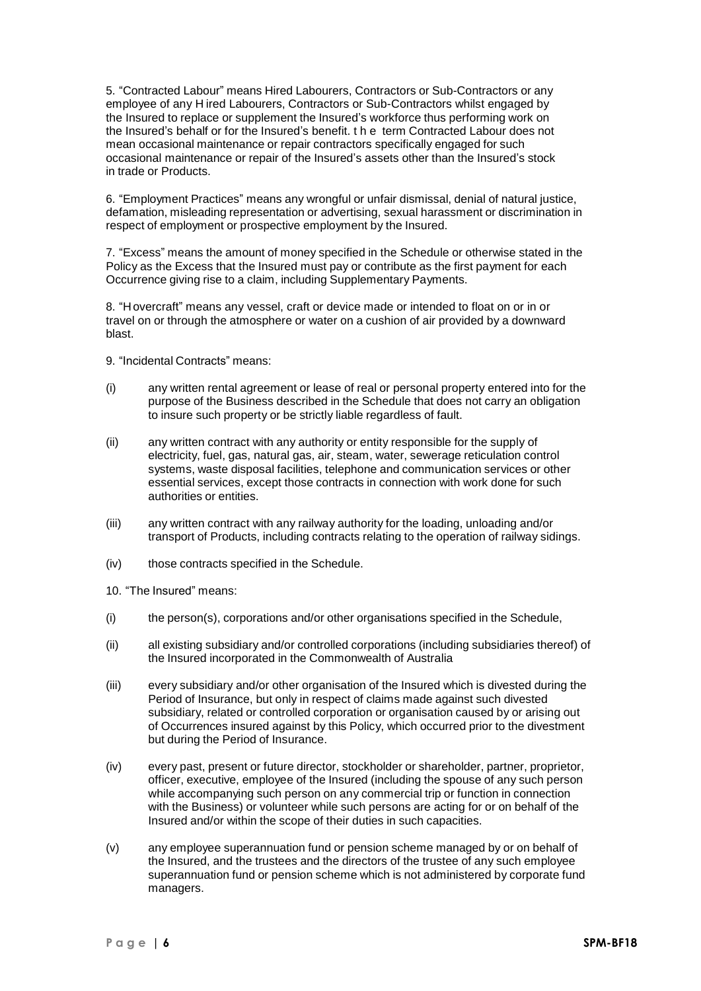5. "Contracted Labour" means Hired Labourers, Contractors or Sub-Contractors or any employee of any H ired Labourers, Contractors or Sub-Contractors whilst engaged by the Insured to replace or supplement the Insured's workforce thus performing work on the Insured's behalf or for the Insured's benefit. the term Contracted Labour does not mean occasional maintenance or repair contractors specifically engaged for such occasional maintenance or repair of the Insured's assets other than the Insured's stock in trade or Products.

6. "Employment Practices" means any wrongful or unfair dismissal, denial of natural justice, defamation, misleading representation or advertising, sexual harassment or discrimination in respect of employment or prospective employment by the Insured.

7. "Excess" means the amount of money specified in the Schedule or otherwise stated in the Policy as the Excess that the Insured must pay or contribute as the first payment for each Occurrence giving rise to a claim, including Supplementary Payments.

8. "H overcraft" means any vessel, craft or device made or intended to float on or in or travel on or through the atmosphere or water on a cushion of air provided by a downward blast.

- 9. "Incidental Contracts" means:
- (i) any written rental agreement or lease of real or personal property entered into for the purpose of the Business described in the Schedule that does not carry an obligation to insure such property or be strictly liable regardless of fault.
- (ii) any written contract with any authority or entity responsible for the supply of electricity, fuel, gas, natural gas, air, steam, water, sewerage reticulation control systems, waste disposal facilities, telephone and communication services or other essential services, except those contracts in connection with work done for such authorities or entities.
- (iii) any written contract with any railway authority for the loading, unloading and/or transport of Products, including contracts relating to the operation of railway sidings.
- (iv) those contracts specified in the Schedule.
- 10. "The Insured" means:
- (i) the person(s), corporations and/or other organisations specified in the Schedule,
- (ii) all existing subsidiary and/or controlled corporations (including subsidiaries thereof) of the Insured incorporated in the Commonwealth of Australia
- (iii) every subsidiary and/or other organisation of the Insured which is divested during the Period of Insurance, but only in respect of claims made against such divested subsidiary, related or controlled corporation or organisation caused by or arising out of Occurrences insured against by this Policy, which occurred prior to the divestment but during the Period of Insurance.
- (iv) every past, present or future director, stockholder or shareholder, partner, proprietor, officer, executive, employee of the Insured (including the spouse of any such person while accompanying such person on any commercial trip or function in connection with the Business) or volunteer while such persons are acting for or on behalf of the Insured and/or within the scope of their duties in such capacities.
- (v) any employee superannuation fund or pension scheme managed by or on behalf of the Insured, and the trustees and the directors of the trustee of any such employee superannuation fund or pension scheme which is not administered by corporate fund managers.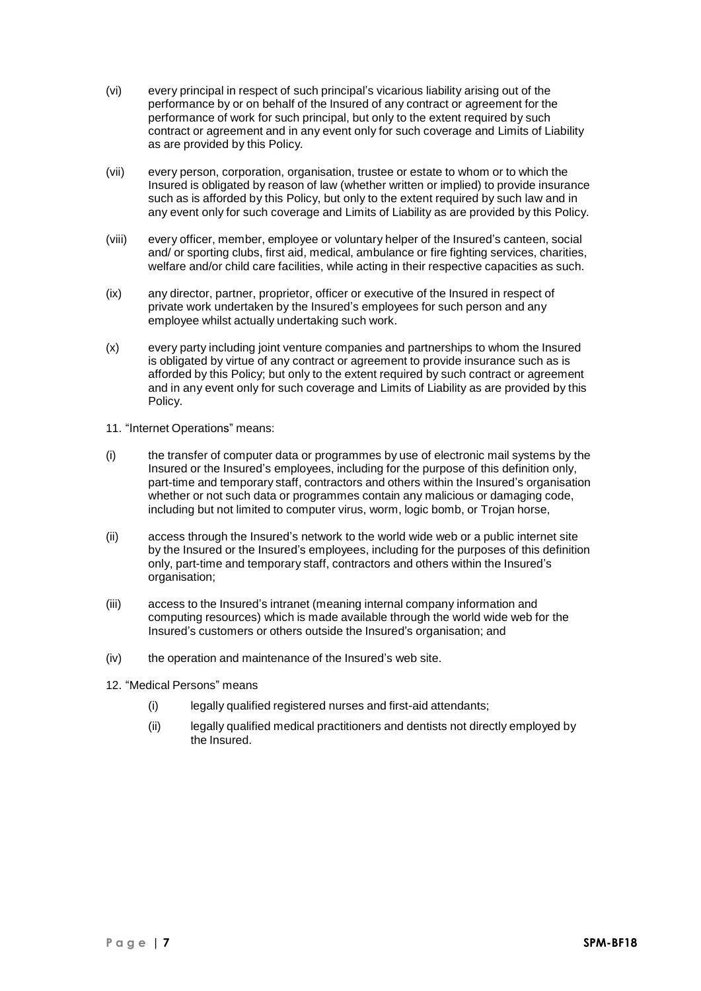- (vi) every principal in respect of such principal's vicarious liability arising out of the performance by or on behalf of the Insured of any contract or agreement for the performance of work for such principal, but only to the extent required by such contract or agreement and in any event only for such coverage and Limits of Liability as are provided by this Policy.
- (vii) every person, corporation, organisation, trustee or estate to whom or to which the Insured is obligated by reason of law (whether written or implied) to provide insurance such as is afforded by this Policy, but only to the extent required by such law and in any event only for such coverage and Limits of Liability as are provided by this Policy.
- (viii) every officer, member, employee or voluntary helper of the Insured's canteen, social and/ or sporting clubs, first aid, medical, ambulance or fire fighting services, charities, welfare and/or child care facilities, while acting in their respective capacities as such.
- (ix) any director, partner, proprietor, officer or executive of the Insured in respect of private work undertaken by the Insured's employees for such person and any employee whilst actually undertaking such work.
- (x) every party including joint venture companies and partnerships to whom the Insured is obligated by virtue of any contract or agreement to provide insurance such as is afforded by this Policy; but only to the extent required by such contract or agreement and in any event only for such coverage and Limits of Liability as are provided by this Policy.
- 11. "Internet Operations" means:
- (i) the transfer of computer data or programmes by use of electronic mail systems by the Insured or the Insured's employees, including for the purpose of this definition only, part-time and temporary staff, contractors and others within the Insured's organisation whether or not such data or programmes contain any malicious or damaging code, including but not limited to computer virus, worm, logic bomb, or Trojan horse,
- (ii) access through the Insured's network to the world wide web or a public internet site by the Insured or the Insured's employees, including for the purposes of this definition only, part-time and temporary staff, contractors and others within the Insured's organisation;
- (iii) access to the Insured's intranet (meaning internal company information and computing resources) which is made available through the world wide web for the Insured's customers or others outside the Insured's organisation; and
- (iv) the operation and maintenance of the Insured's web site.
- 12. "Medical Persons" means
	- (i) legally qualified registered nurses and first-aid attendants;
	- (ii) legally qualified medical practitioners and dentists not directly employed by the Insured.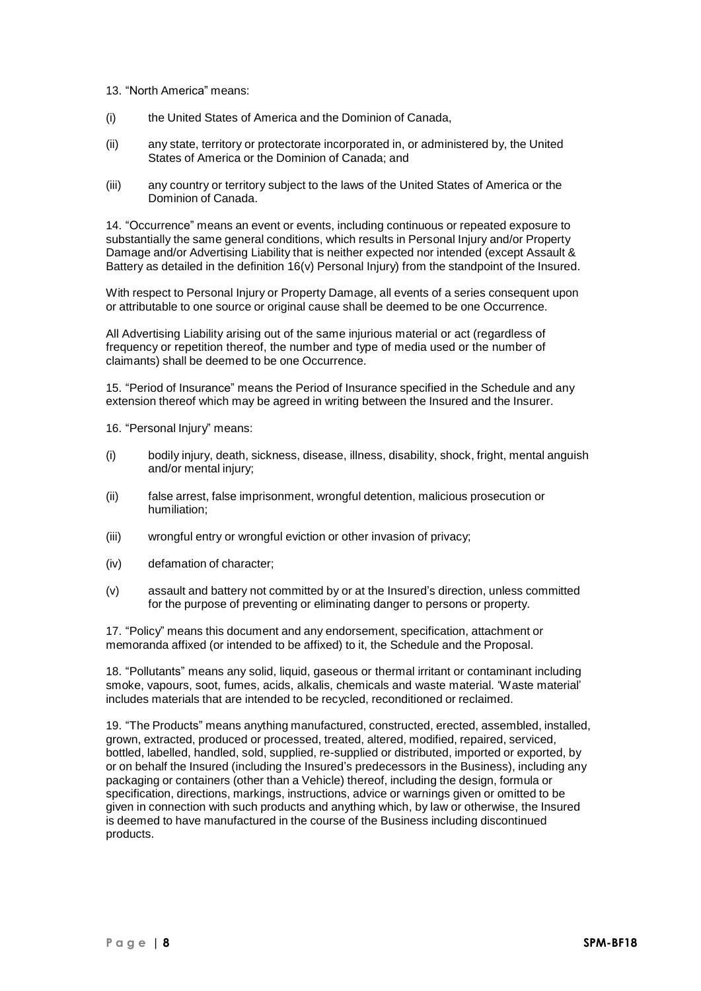- 13. "North America" means:
- (i) the United States of America and the Dominion of Canada,
- (ii) any state, territory or protectorate incorporated in, or administered by, the United States of America or the Dominion of Canada; and
- (iii) any country or territory subject to the laws of the United States of America or the Dominion of Canada.

14. "Occurrence" means an event or events, including continuous or repeated exposure to substantially the same general conditions, which results in Personal Injury and/or Property Damage and/or Advertising Liability that is neither expected nor intended (except Assault & Battery as detailed in the definition 16(v) Personal Injury) from the standpoint of the Insured.

With respect to Personal Injury or Property Damage, all events of a series consequent upon or attributable to one source or original cause shall be deemed to be one Occurrence.

All Advertising Liability arising out of the same injurious material or act (regardless of frequency or repetition thereof, the number and type of media used or the number of claimants) shall be deemed to be one Occurrence.

15. "Period of Insurance" means the Period of Insurance specified in the Schedule and any extension thereof which may be agreed in writing between the Insured and the Insurer.

16. "Personal Injury" means:

- (i) bodily injury, death, sickness, disease, illness, disability, shock, fright, mental anguish and/or mental injury;
- (ii) false arrest, false imprisonment, wrongful detention, malicious prosecution or humiliation;
- (iii) wrongful entry or wrongful eviction or other invasion of privacy;
- (iv) defamation of character;
- (v) assault and battery not committed by or at the Insured's direction, unless committed for the purpose of preventing or eliminating danger to persons or property.

17. "Policy" means this document and any endorsement, specification, attachment or memoranda affixed (or intended to be affixed) to it, the Schedule and the Proposal.

18. "Pollutants" means any solid, liquid, gaseous or thermal irritant or contaminant including smoke, vapours, soot, fumes, acids, alkalis, chemicals and waste material. 'Waste material' includes materials that are intended to be recycled, reconditioned or reclaimed.

19. "The Products" means anything manufactured, constructed, erected, assembled, installed, grown, extracted, produced or processed, treated, altered, modified, repaired, serviced, bottled, labelled, handled, sold, supplied, re-supplied or distributed, imported or exported, by or on behalf the Insured (including the Insured's predecessors in the Business), including any packaging or containers (other than a Vehicle) thereof, including the design, formula or specification, directions, markings, instructions, advice or warnings given or omitted to be given in connection with such products and anything which, by law or otherwise, the Insured is deemed to have manufactured in the course of the Business including discontinued products.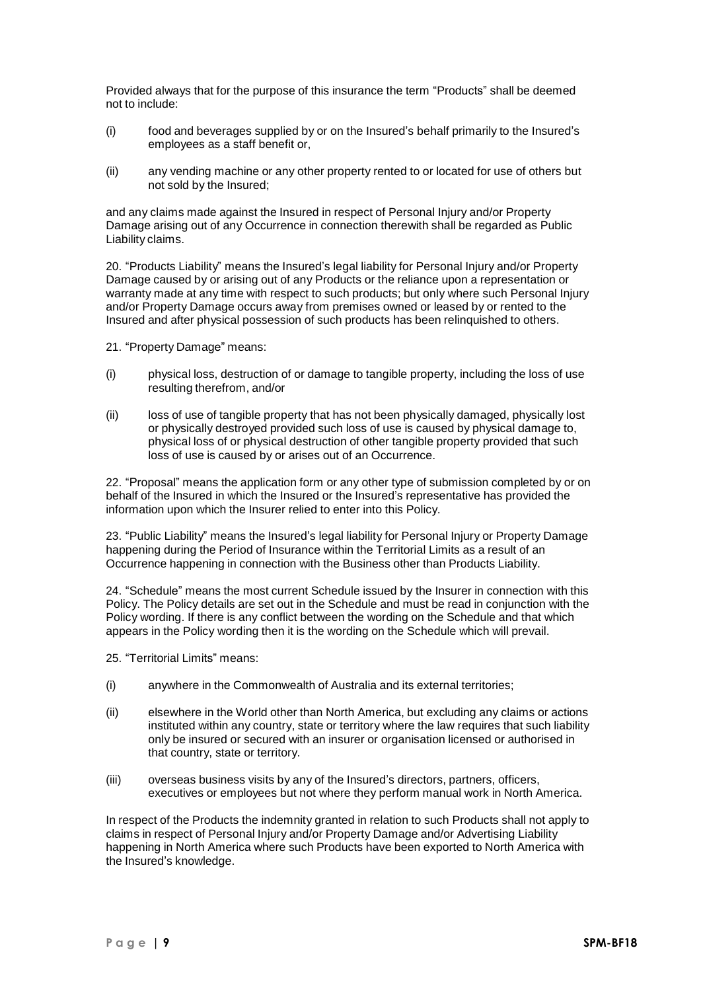Provided always that for the purpose of this insurance the term "Products" shall be deemed not to include:

- (i) food and beverages supplied by or on the Insured's behalf primarily to the Insured's employees as a staff benefit or,
- (ii) any vending machine or any other property rented to or located for use of others but not sold by the Insured;

and any claims made against the Insured in respect of Personal Injury and/or Property Damage arising out of any Occurrence in connection therewith shall be regarded as Public Liability claims.

20. "Products Liability" means the Insured's legal liability for Personal Injury and/or Property Damage caused by or arising out of any Products or the reliance upon a representation or warranty made at any time with respect to such products; but only where such Personal Injury and/or Property Damage occurs away from premises owned or leased by or rented to the Insured and after physical possession of such products has been relinquished to others.

21. "Property Damage" means:

- (i) physical loss, destruction of or damage to tangible property, including the loss of use resulting therefrom, and/or
- (ii) loss of use of tangible property that has not been physically damaged, physically lost or physically destroyed provided such loss of use is caused by physical damage to, physical loss of or physical destruction of other tangible property provided that such loss of use is caused by or arises out of an Occurrence.

22. "Proposal" means the application form or any other type of submission completed by or on behalf of the Insured in which the Insured or the Insured's representative has provided the information upon which the Insurer relied to enter into this Policy.

23. "Public Liability" means the Insured's legal liability for Personal Injury or Property Damage happening during the Period of Insurance within the Territorial Limits as a result of an Occurrence happening in connection with the Business other than Products Liability.

24. "Schedule" means the most current Schedule issued by the Insurer in connection with this Policy. The Policy details are set out in the Schedule and must be read in conjunction with the Policy wording. If there is any conflict between the wording on the Schedule and that which appears in the Policy wording then it is the wording on the Schedule which will prevail.

25. "Territorial Limits" means:

- (i) anywhere in the Commonwealth of Australia and its external territories;
- (ii) elsewhere in the World other than North America, but excluding any claims or actions instituted within any country, state or territory where the law requires that such liability only be insured or secured with an insurer or organisation licensed or authorised in that country, state or territory.
- (iii) overseas business visits by any of the Insured's directors, partners, officers, executives or employees but not where they perform manual work in North America.

In respect of the Products the indemnity granted in relation to such Products shall not apply to claims in respect of Personal Injury and/or Property Damage and/or Advertising Liability happening in North America where such Products have been exported to North America with the Insured's knowledge.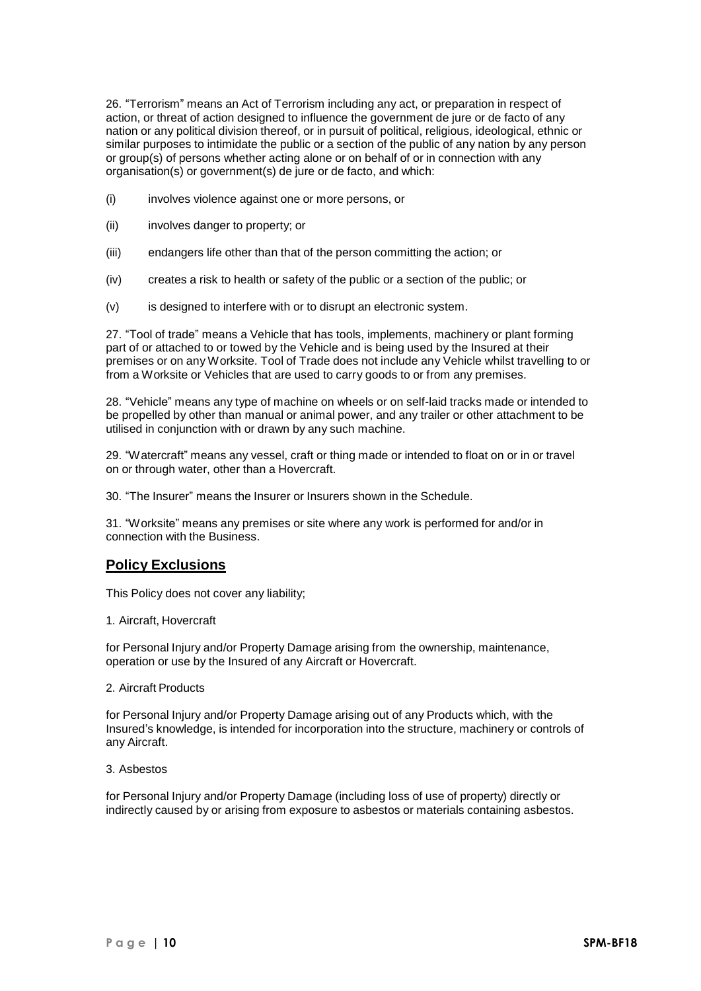26. "Terrorism" means an Act of Terrorism including any act, or preparation in respect of action, or threat of action designed to influence the government de jure or de facto of any nation or any political division thereof, or in pursuit of political, religious, ideological, ethnic or similar purposes to intimidate the public or a section of the public of any nation by any person or group(s) of persons whether acting alone or on behalf of or in connection with any organisation(s) or government(s) de jure or de facto, and which:

- (i) involves violence against one or more persons, or
- (ii) involves danger to property; or
- (iii) endangers life other than that of the person committing the action; or
- (iv) creates a risk to health or safety of the public or a section of the public; or
- (v) is designed to interfere with or to disrupt an electronic system.

27. "Tool of trade" means a Vehicle that has tools, implements, machinery or plant forming part of or attached to or towed by the Vehicle and is being used by the Insured at their premises or on any Worksite. Tool of Trade does not include any Vehicle whilst travelling to or from a Worksite or Vehicles that are used to carry goods to or from any premises.

28. "Vehicle" means any type of machine on wheels or on self-laid tracks made or intended to be propelled by other than manual or animal power, and any trailer or other attachment to be utilised in conjunction with or drawn by any such machine.

29. "Watercraft" means any vessel, craft or thing made or intended to float on or in or travel on or through water, other than a Hovercraft.

30. "The Insurer" means the Insurer or Insurers shown in the Schedule.

31. "Worksite" means any premises or site where any work is performed for and/or in connection with the Business.

# **Policy Exclusions**

This Policy does not cover any liability;

1. Aircraft, Hovercraft

for Personal Injury and/or Property Damage arising from the ownership, maintenance, operation or use by the Insured of any Aircraft or Hovercraft.

### 2. Aircraft Products

for Personal Injury and/or Property Damage arising out of any Products which, with the Insured's knowledge, is intended for incorporation into the structure, machinery or controls of any Aircraft.

#### 3. Asbestos

for Personal Injury and/or Property Damage (including loss of use of property) directly or indirectly caused by or arising from exposure to asbestos or materials containing asbestos.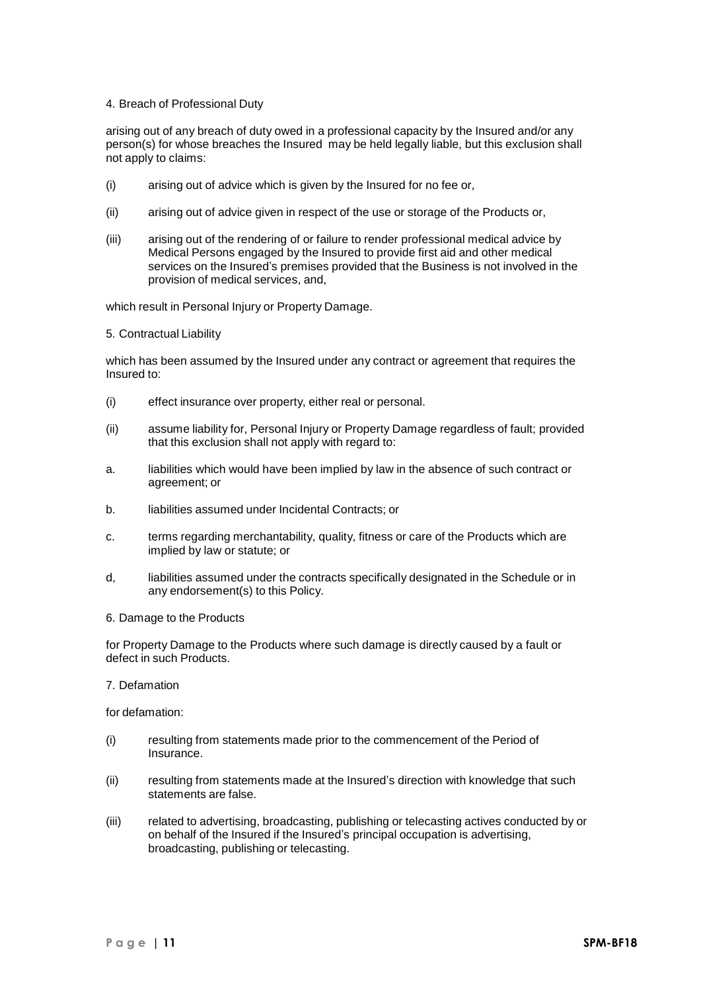### 4. Breach of Professional Duty

arising out of any breach of duty owed in a professional capacity by the Insured and/or any person(s) for whose breaches the Insured may be held legally liable, but this exclusion shall not apply to claims:

- (i) arising out of advice which is given by the Insured for no fee or,
- (ii) arising out of advice given in respect of the use or storage of the Products or,
- (iii) arising out of the rendering of or failure to render professional medical advice by Medical Persons engaged by the Insured to provide first aid and other medical services on the Insured's premises provided that the Business is not involved in the provision of medical services, and,

which result in Personal Injury or Property Damage.

5. Contractual Liability

which has been assumed by the Insured under any contract or agreement that requires the Insured to:

- (i) effect insurance over property, either real or personal.
- (ii) assume liability for, Personal Injury or Property Damage regardless of fault; provided that this exclusion shall not apply with regard to:
- a. liabilities which would have been implied by law in the absence of such contract or agreement; or
- b. liabilities assumed under Incidental Contracts; or
- c. terms regarding merchantability, quality, fitness or care of the Products which are implied by law or statute; or
- d, liabilities assumed under the contracts specifically designated in the Schedule or in any endorsement(s) to this Policy.
- 6. Damage to the Products

for Property Damage to the Products where such damage is directly caused by a fault or defect in such Products.

# 7. Defamation

for defamation:

- (i) resulting from statements made prior to the commencement of the Period of Insurance.
- (ii) resulting from statements made at the Insured's direction with knowledge that such statements are false.
- (iii) related to advertising, broadcasting, publishing or telecasting actives conducted by or on behalf of the Insured if the Insured's principal occupation is advertising, broadcasting, publishing or telecasting.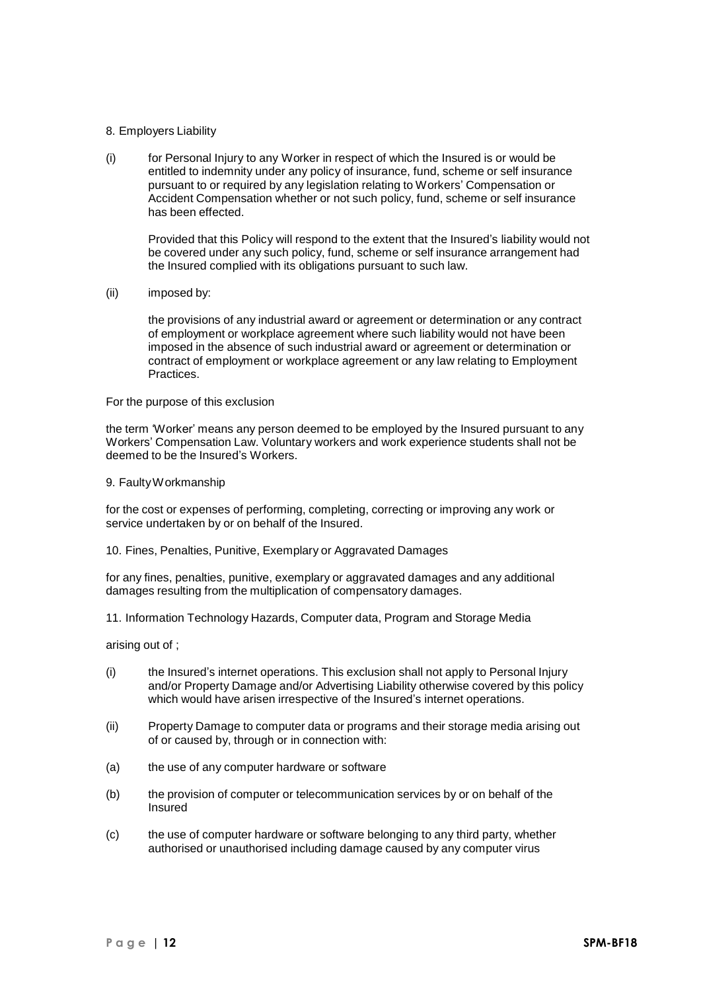### 8. Employers Liability

(i) for Personal Injury to any Worker in respect of which the Insured is or would be entitled to indemnity under any policy of insurance, fund, scheme or self insurance pursuant to or required by any legislation relating to Workers' Compensation or Accident Compensation whether or not such policy, fund, scheme or self insurance has been effected.

Provided that this Policy will respond to the extent that the Insured's liability would not be covered under any such policy, fund, scheme or self insurance arrangement had the Insured complied with its obligations pursuant to such law.

(ii) imposed by:

the provisions of any industrial award or agreement or determination or any contract of employment or workplace agreement where such liability would not have been imposed in the absence of such industrial award or agreement or determination or contract of employment or workplace agreement or any law relating to Employment Practices.

For the purpose of this exclusion

the term 'Worker' means any person deemed to be employed by the Insured pursuant to any Workers' Compensation Law. Voluntary workers and work experience students shall not be deemed to be the Insured's Workers.

9. FaultyWorkmanship

for the cost or expenses of performing, completing, correcting or improving any work or service undertaken by or on behalf of the Insured.

10. Fines, Penalties, Punitive, Exemplary or Aggravated Damages

for any fines, penalties, punitive, exemplary or aggravated damages and any additional damages resulting from the multiplication of compensatory damages.

11. Information Technology Hazards, Computer data, Program and Storage Media

arising out of ;

- (i) the Insured's internet operations. This exclusion shall not apply to Personal Injury and/or Property Damage and/or Advertising Liability otherwise covered by this policy which would have arisen irrespective of the Insured's internet operations.
- (ii) Property Damage to computer data or programs and their storage media arising out of or caused by, through or in connection with:
- (a) the use of any computer hardware or software
- (b) the provision of computer or telecommunication services by or on behalf of the Insured
- (c) the use of computer hardware or software belonging to any third party, whether authorised or unauthorised including damage caused by any computer virus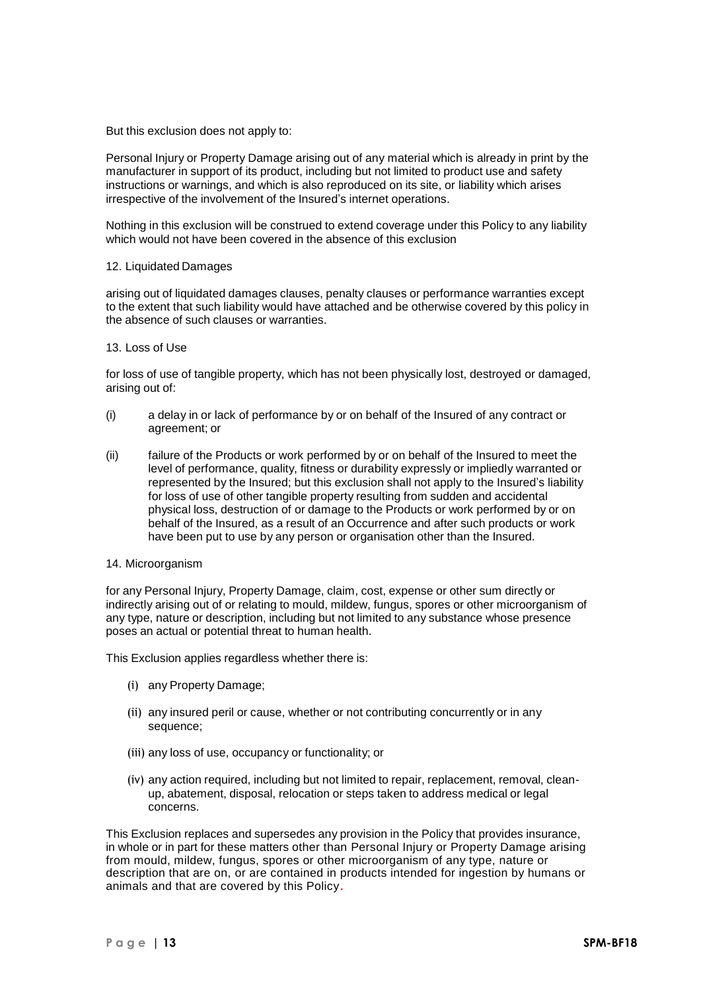But this exclusion does not apply to:

Personal Injury or Property Damage arising out of any material which is already in print by the manufacturer in support of its product, including but not limited to product use and safety instructions or warnings, and which is also reproduced on its site, or liability which arises irrespective of the involvement of the Insured's internet operations.

Nothing in this exclusion will be construed to extend coverage under this Policy to any liability which would not have been covered in the absence of this exclusion

#### 12. Liquidated Damages

arising out of liquidated damages clauses, penalty clauses or performance warranties except to the extent that such liability would have attached and be otherwise covered by this policy in the absence of such clauses or warranties.

#### 13. Loss of Use

for loss of use of tangible property, which has not been physically lost, destroyed or damaged, arising out of:

- (i) a delay in or lack of performance by or on behalf of the Insured of any contract or agreement; or
- (ii) failure of the Products or work performed by or on behalf of the Insured to meet the level of performance, quality, fitness or durability expressly or impliedly warranted or represented by the Insured; but this exclusion shall not apply to the Insured's liability for loss of use of other tangible property resulting from sudden and accidental physical loss, destruction of or damage to the Products or work performed by or on behalf of the Insured, as a result of an Occurrence and after such products or work have been put to use by any person or organisation other than the Insured.
- 14. Microorganism

for any Personal Injury, Property Damage, claim, cost, expense or other sum directly or indirectly arising out of or relating to mould, mildew, fungus, spores or other microorganism of any type, nature or description, including but not limited to any substance whose presence poses an actual or potential threat to human health.

This Exclusion applies regardless whether there is:

- (i) any Property Damage;
- (ii) any insured peril or cause, whether or not contributing concurrently or in any sequence;
- (iii) any loss of use, occupancy or functionality; or
- (iv) any action required, including but not limited to repair, replacement, removal, cleanup, abatement, disposal, relocation or steps taken to address medical or legal concerns.

This Exclusion replaces and supersedes any provision in the Policy that provides insurance, in whole or in part for these matters other than Personal Injury or Property Damage arising from mould, mildew, fungus, spores or other microorganism of any type, nature or description that are on, or are contained in products intended for ingestion by humans or animals and that are covered by this Policy.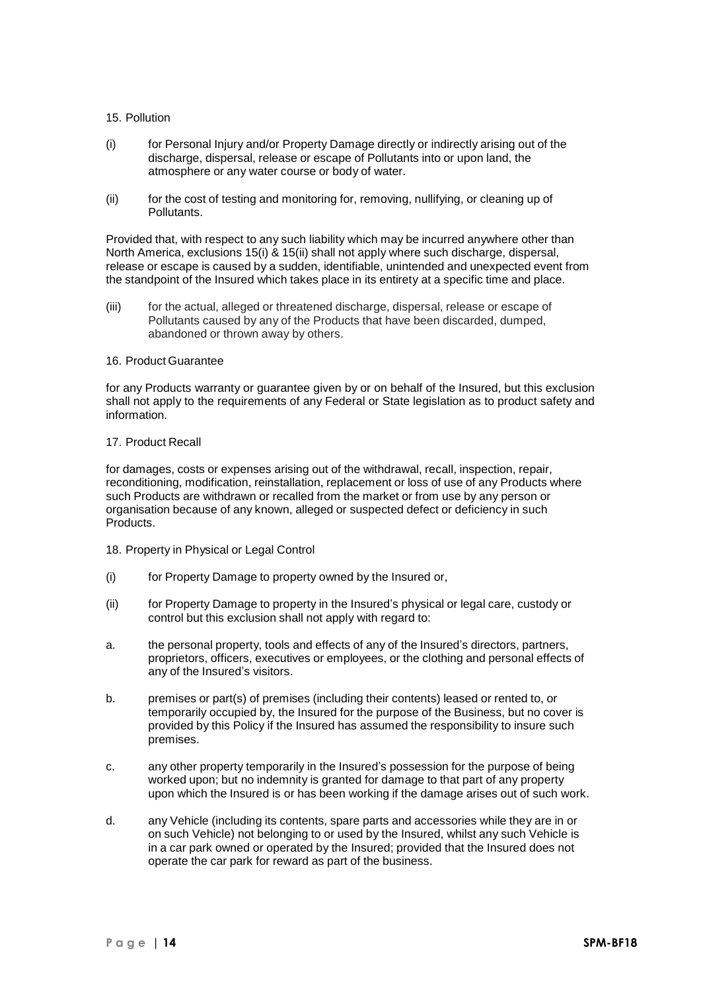### 15. Pollution

- (i) for Personal Injury and/or Property Damage directly or indirectly arising out of the discharge, dispersal, release or escape of Pollutants into or upon land, the atmosphere or any water course or body of water.
- (ii) for the cost of testing and monitoring for, removing, nullifying, or cleaning up of Pollutants.

Provided that, with respect to any such liability which may be incurred anywhere other than North America, exclusions 15(i) & 15(ii) shall not apply where such discharge, dispersal, release or escape is caused by a sudden, identifiable, unintended and unexpected event from the standpoint of the Insured which takes place in its entirety at a specific time and place.

(iii) for the actual, alleged or threatened discharge, dispersal, release or escape of Pollutants caused by any of the Products that have been discarded, dumped, abandoned or thrown away by others.

#### 16. Product Guarantee

for any Products warranty or guarantee given by or on behalf of the Insured, but this exclusion shall not apply to the requirements of any Federal or State legislation as to product safety and information.

#### 17. Product Recall

for damages, costs or expenses arising out of the withdrawal, recall, inspection, repair, reconditioning, modification, reinstallation, replacement or loss of use of any Products where such Products are withdrawn or recalled from the market or from use by any person or organisation because of any known, alleged or suspected defect or deficiency in such Products.

- 18. Property in Physical or Legal Control
- (i) for Property Damage to property owned by the Insured or,
- (ii) for Property Damage to property in the Insured's physical or legal care, custody or control but this exclusion shall not apply with regard to:
- a. the personal property, tools and effects of any of the Insured's directors, partners, proprietors, officers, executives or employees, or the clothing and personal effects of any of the Insured's visitors.
- b. premises or part(s) of premises (including their contents) leased or rented to, or temporarily occupied by, the Insured for the purpose of the Business, but no cover is provided by this Policy if the Insured has assumed the responsibility to insure such premises.
- c. any other property temporarily in the Insured's possession for the purpose of being worked upon; but no indemnity is granted for damage to that part of any property upon which the Insured is or has been working if the damage arises out of such work.
- d. any Vehicle (including its contents, spare parts and accessories while they are in or on such Vehicle) not belonging to or used by the Insured, whilst any such Vehicle is in a car park owned or operated by the Insured; provided that the Insured does not operate the car park for reward as part of the business.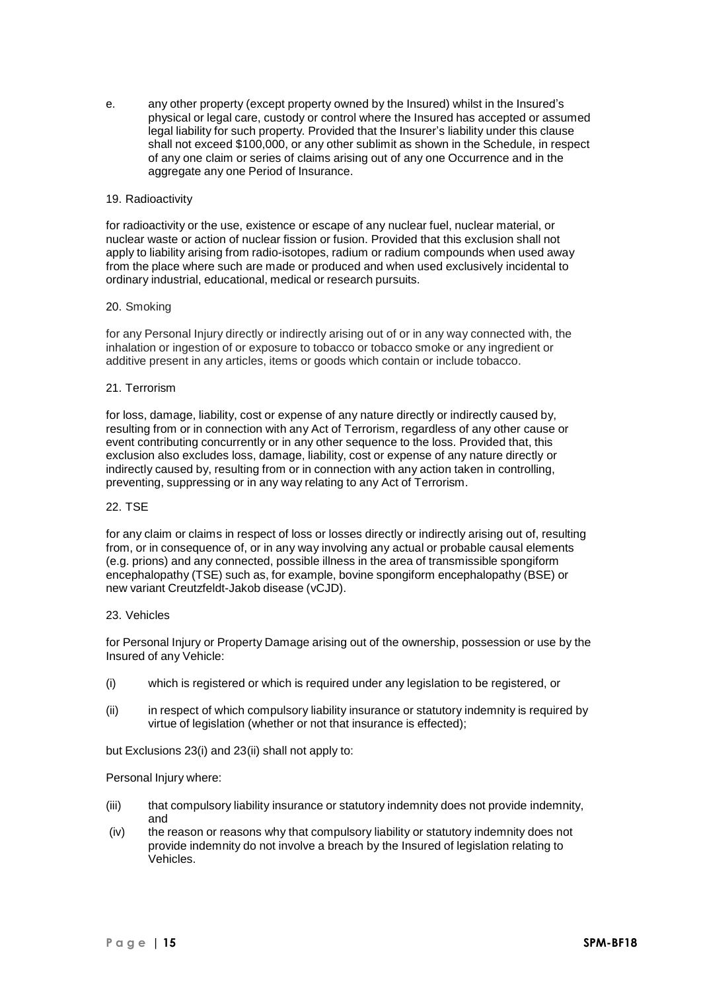e. any other property (except property owned by the Insured) whilst in the Insured's physical or legal care, custody or control where the Insured has accepted or assumed legal liability for such property. Provided that the Insurer's liability under this clause shall not exceed \$100,000, or any other sublimit as shown in the Schedule, in respect of any one claim or series of claims arising out of any one Occurrence and in the aggregate any one Period of Insurance.

### 19. Radioactivity

for radioactivity or the use, existence or escape of any nuclear fuel, nuclear material, or nuclear waste or action of nuclear fission or fusion. Provided that this exclusion shall not apply to liability arising from radio-isotopes, radium or radium compounds when used away from the place where such are made or produced and when used exclusively incidental to ordinary industrial, educational, medical or research pursuits.

### 20. Smoking

for any Personal Injury directly or indirectly arising out of or in any way connected with, the inhalation or ingestion of or exposure to tobacco or tobacco smoke or any ingredient or additive present in any articles, items or goods which contain or include tobacco.

#### 21. Terrorism

for loss, damage, liability, cost or expense of any nature directly or indirectly caused by, resulting from or in connection with any Act of Terrorism, regardless of any other cause or event contributing concurrently or in any other sequence to the loss. Provided that, this exclusion also excludes loss, damage, liability, cost or expense of any nature directly or indirectly caused by, resulting from or in connection with any action taken in controlling, preventing, suppressing or in any way relating to any Act of Terrorism.

#### 22. TSE

for any claim or claims in respect of loss or losses directly or indirectly arising out of, resulting from, or in consequence of, or in any way involving any actual or probable causal elements (e.g. prions) and any connected, possible illness in the area of transmissible spongiform encephalopathy (TSE) such as, for example, bovine spongiform encephalopathy (BSE) or new variant Creutzfeldt-Jakob disease (vCJD).

#### 23. Vehicles

for Personal Injury or Property Damage arising out of the ownership, possession or use by the Insured of any Vehicle:

- (i) which is registered or which is required under any legislation to be registered, or
- (ii) in respect of which compulsory liability insurance or statutory indemnity is required by virtue of legislation (whether or not that insurance is effected);

but Exclusions 23(i) and 23(ii) shall not apply to:

### Personal Injury where:

- (iii) that compulsory liability insurance or statutory indemnity does not provide indemnity, and
- (iv) the reason or reasons why that compulsory liability or statutory indemnity does not provide indemnity do not involve a breach by the Insured of legislation relating to Vehicles.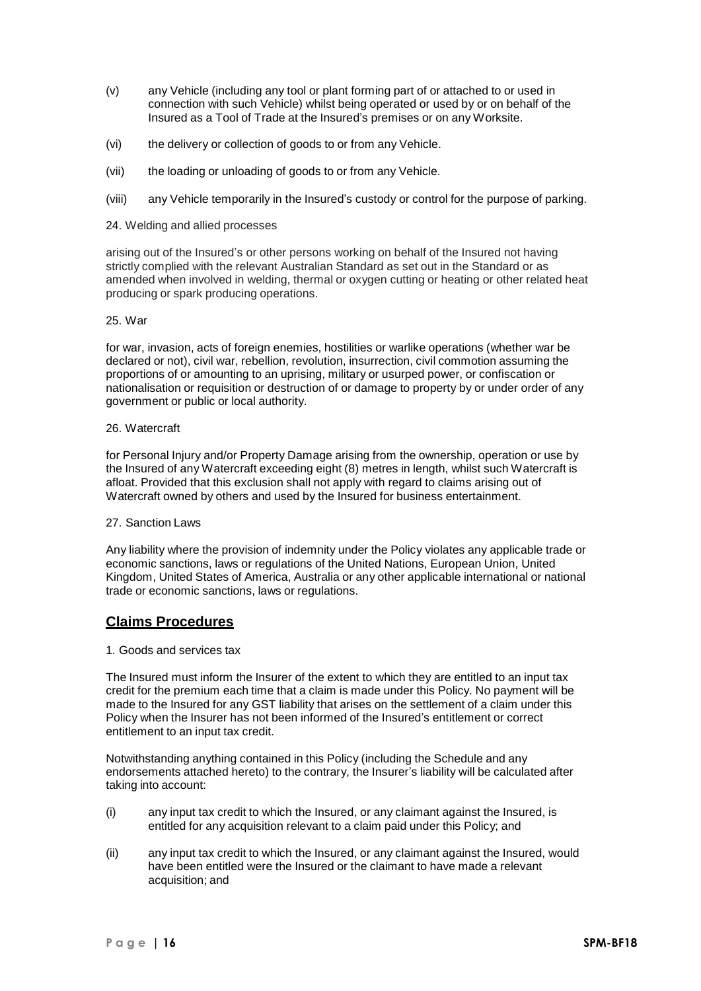- (v) any Vehicle (including any tool or plant forming part of or attached to or used in connection with such Vehicle) whilst being operated or used by or on behalf of the Insured as a Tool of Trade at the Insured's premises or on any Worksite.
- (vi) the delivery or collection of goods to or from any Vehicle.
- (vii) the loading or unloading of goods to or from any Vehicle.
- (viii) any Vehicle temporarily in the Insured's custody or control for the purpose of parking.
- 24. Welding and allied processes

arising out of the Insured's or other persons working on behalf of the Insured not having strictly complied with the relevant Australian Standard as set out in the Standard or as amended when involved in welding, thermal or oxygen cutting or heating or other related heat producing or spark producing operations.

#### 25. War

for war, invasion, acts of foreign enemies, hostilities or warlike operations (whether war be declared or not), civil war, rebellion, revolution, insurrection, civil commotion assuming the proportions of or amounting to an uprising, military or usurped power, or confiscation or nationalisation or requisition or destruction of or damage to property by or under order of any government or public or local authority.

#### 26. Watercraft

for Personal Injury and/or Property Damage arising from the ownership, operation or use by the Insured of any Watercraft exceeding eight (8) metres in length, whilst such Watercraft is afloat. Provided that this exclusion shall not apply with regard to claims arising out of Watercraft owned by others and used by the Insured for business entertainment.

### 27. Sanction Laws

Any liability where the provision of indemnity under the Policy violates any applicable trade or economic sanctions, laws or regulations of the United Nations, European Union, United Kingdom, United States of America, Australia or any other applicable international or national trade or economic sanctions, laws or regulations.

# **Claims Procedures**

### 1. Goods and services tax

The Insured must inform the Insurer of the extent to which they are entitled to an input tax credit for the premium each time that a claim is made under this Policy. No payment will be made to the Insured for any GST liability that arises on the settlement of a claim under this Policy when the Insurer has not been informed of the Insured's entitlement or correct entitlement to an input tax credit.

Notwithstanding anything contained in this Policy (including the Schedule and any endorsements attached hereto) to the contrary, the Insurer's liability will be calculated after taking into account:

- (i) any input tax credit to which the Insured, or any claimant against the Insured, is entitled for any acquisition relevant to a claim paid under this Policy; and
- (ii) any input tax credit to which the Insured, or any claimant against the Insured, would have been entitled were the Insured or the claimant to have made a relevant acquisition; and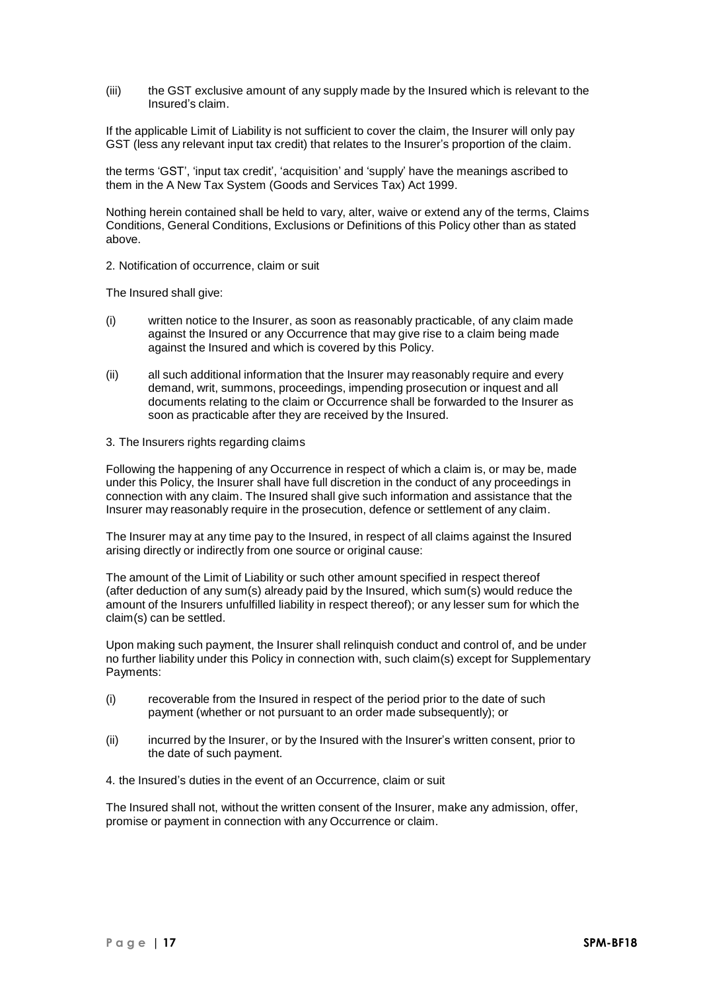(iii) the GST exclusive amount of any supply made by the Insured which is relevant to the Insured's claim.

If the applicable Limit of Liability is not sufficient to cover the claim, the Insurer will only pay GST (less any relevant input tax credit) that relates to the Insurer's proportion of the claim.

the terms 'GST', 'input tax credit', 'acquisition' and 'supply' have the meanings ascribed to them in the A New Tax System (Goods and Services Tax) Act 1999.

Nothing herein contained shall be held to vary, alter, waive or extend any of the terms, Claims Conditions, General Conditions, Exclusions or Definitions of this Policy other than as stated above.

2. Notification of occurrence, claim or suit

The Insured shall give:

- (i) written notice to the Insurer, as soon as reasonably practicable, of any claim made against the Insured or any Occurrence that may give rise to a claim being made against the Insured and which is covered by this Policy.
- (ii) all such additional information that the Insurer may reasonably require and every demand, writ, summons, proceedings, impending prosecution or inquest and all documents relating to the claim or Occurrence shall be forwarded to the Insurer as soon as practicable after they are received by the Insured.
- 3. The Insurers rights regarding claims

Following the happening of any Occurrence in respect of which a claim is, or may be, made under this Policy, the Insurer shall have full discretion in the conduct of any proceedings in connection with any claim. The Insured shall give such information and assistance that the Insurer may reasonably require in the prosecution, defence or settlement of any claim.

The Insurer may at any time pay to the Insured, in respect of all claims against the Insured arising directly or indirectly from one source or original cause:

The amount of the Limit of Liability or such other amount specified in respect thereof (after deduction of any sum(s) already paid by the Insured, which sum(s) would reduce the amount of the Insurers unfulfilled liability in respect thereof); or any lesser sum for which the claim(s) can be settled.

Upon making such payment, the Insurer shall relinquish conduct and control of, and be under no further liability under this Policy in connection with, such claim(s) except for Supplementary Payments:

- (i) recoverable from the Insured in respect of the period prior to the date of such payment (whether or not pursuant to an order made subsequently); or
- (ii) incurred by the Insurer, or by the Insured with the Insurer's written consent, prior to the date of such payment.
- 4. the Insured's duties in the event of an Occurrence, claim or suit

The Insured shall not, without the written consent of the Insurer, make any admission, offer, promise or payment in connection with any Occurrence or claim.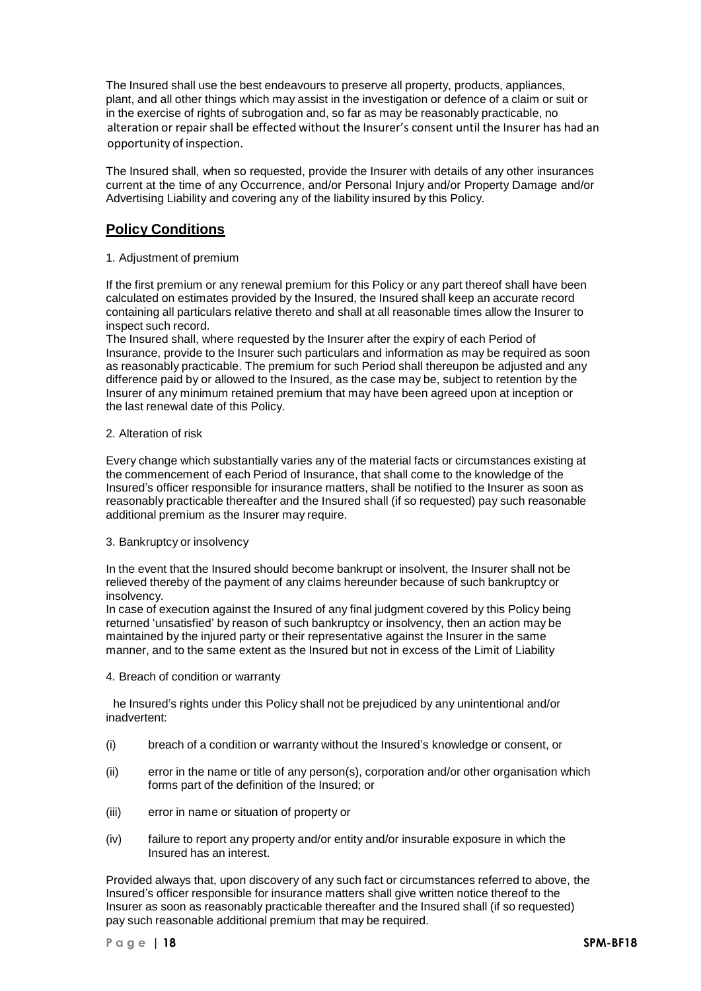The Insured shall use the best endeavours to preserve all property, products, appliances, plant, and all other things which may assist in the investigation or defence of a claim or suit or in the exercise of rights of subrogation and, so far as may be reasonably practicable, no alteration or repair shall be effected without the Insurer's consent until the Insurer has had an opportunity of inspection.

The Insured shall, when so requested, provide the Insurer with details of any other insurances current at the time of any Occurrence, and/or Personal Injury and/or Property Damage and/or Advertising Liability and covering any of the liability insured by this Policy.

# **Policy Conditions**

1. Adjustment of premium

If the first premium or any renewal premium for this Policy or any part thereof shall have been calculated on estimates provided by the Insured, the Insured shall keep an accurate record containing all particulars relative thereto and shall at all reasonable times allow the Insurer to inspect such record.

The Insured shall, where requested by the Insurer after the expiry of each Period of Insurance, provide to the Insurer such particulars and information as may be required as soon as reasonably practicable. The premium for such Period shall thereupon be adjusted and any difference paid by or allowed to the Insured, as the case may be, subject to retention by the Insurer of any minimum retained premium that may have been agreed upon at inception or the last renewal date of this Policy.

# 2. Alteration of risk

Every change which substantially varies any of the material facts or circumstances existing at the commencement of each Period of Insurance, that shall come to the knowledge of the Insured's officer responsible for insurance matters, shall be notified to the Insurer as soon as reasonably practicable thereafter and the Insured shall (if so requested) pay such reasonable additional premium as the Insurer may require.

# 3. Bankruptcy or insolvency

In the event that the Insured should become bankrupt or insolvent, the Insurer shall not be relieved thereby of the payment of any claims hereunder because of such bankruptcy or insolvency.

In case of execution against the Insured of any final judgment covered by this Policy being returned 'unsatisfied' by reason of such bankruptcy or insolvency, then an action may be maintained by the injured party or their representative against the Insurer in the same manner, and to the same extent as the Insured but not in excess of the Limit of Liability

# 4. Breach of condition or warranty

he Insured's rights under this Policy shall not be prejudiced by any unintentional and/or inadvertent:

- (i) breach of a condition or warranty without the Insured's knowledge or consent, or
- (ii) error in the name or title of any person(s), corporation and/or other organisation which forms part of the definition of the Insured; or
- (iii) error in name or situation of property or
- (iv) failure to report any property and/or entity and/or insurable exposure in which the Insured has an interest.

Provided always that, upon discovery of any such fact or circumstances referred to above, the Insured's officer responsible for insurance matters shall give written notice thereof to the Insurer as soon as reasonably practicable thereafter and the Insured shall (if so requested) pay such reasonable additional premium that may be required.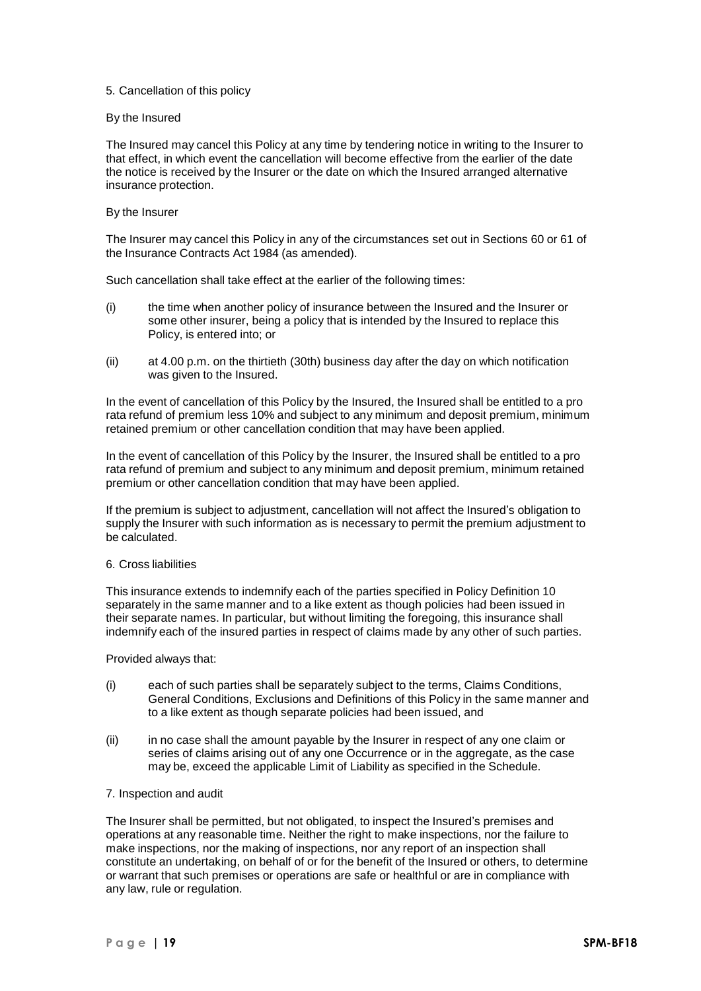### 5. Cancellation of this policy

### By the Insured

The Insured may cancel this Policy at any time by tendering notice in writing to the Insurer to that effect, in which event the cancellation will become effective from the earlier of the date the notice is received by the Insurer or the date on which the Insured arranged alternative insurance protection.

### By the Insurer

The Insurer may cancel this Policy in any of the circumstances set out in Sections 60 or 61 of the Insurance Contracts Act 1984 (as amended).

Such cancellation shall take effect at the earlier of the following times:

- (i) the time when another policy of insurance between the Insured and the Insurer or some other insurer, being a policy that is intended by the Insured to replace this Policy, is entered into; or
- (ii) at 4.00 p.m. on the thirtieth (30th) business day after the day on which notification was given to the Insured.

In the event of cancellation of this Policy by the Insured, the Insured shall be entitled to a pro rata refund of premium less 10% and subject to any minimum and deposit premium, minimum retained premium or other cancellation condition that may have been applied.

In the event of cancellation of this Policy by the Insurer, the Insured shall be entitled to a pro rata refund of premium and subject to any minimum and deposit premium, minimum retained premium or other cancellation condition that may have been applied.

If the premium is subject to adjustment, cancellation will not affect the Insured's obligation to supply the Insurer with such information as is necessary to permit the premium adjustment to be calculated.

### 6. Cross liabilities

This insurance extends to indemnify each of the parties specified in Policy Definition 10 separately in the same manner and to a like extent as though policies had been issued in their separate names. In particular, but without limiting the foregoing, this insurance shall indemnify each of the insured parties in respect of claims made by any other of such parties.

Provided always that:

- (i) each of such parties shall be separately subject to the terms, Claims Conditions, General Conditions, Exclusions and Definitions of this Policy in the same manner and to a like extent as though separate policies had been issued, and
- (ii) in no case shall the amount payable by the Insurer in respect of any one claim or series of claims arising out of any one Occurrence or in the aggregate, as the case may be, exceed the applicable Limit of Liability as specified in the Schedule.

### 7. Inspection and audit

The Insurer shall be permitted, but not obligated, to inspect the Insured's premises and operations at any reasonable time. Neither the right to make inspections, nor the failure to make inspections, nor the making of inspections, nor any report of an inspection shall constitute an undertaking, on behalf of or for the benefit of the Insured or others, to determine or warrant that such premises or operations are safe or healthful or are in compliance with any law, rule or regulation.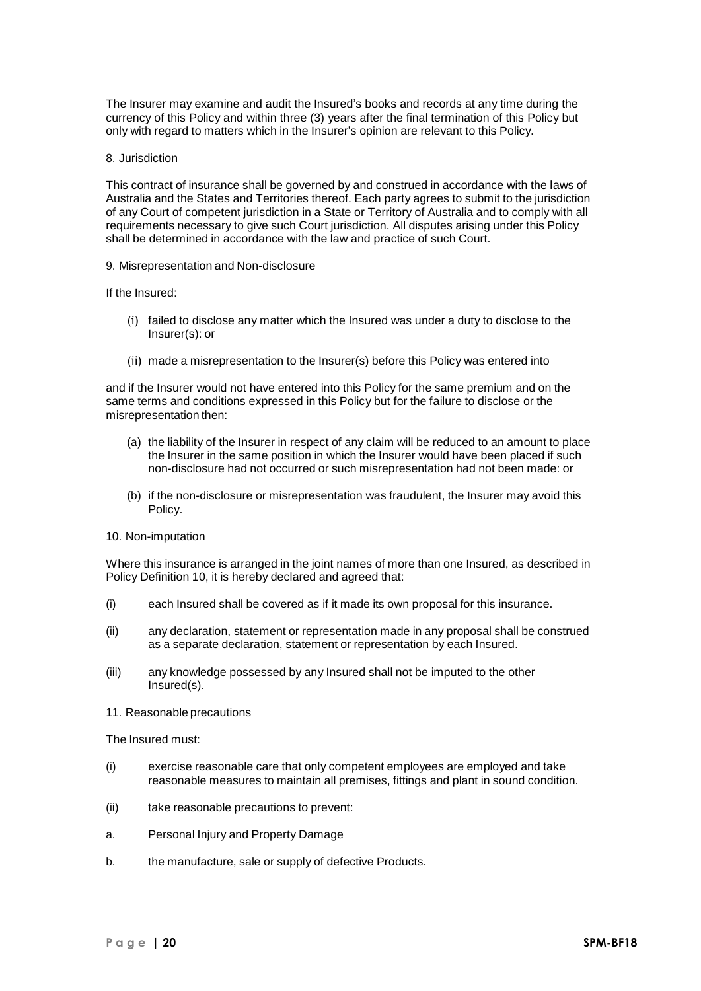The Insurer may examine and audit the Insured's books and records at any time during the currency of this Policy and within three (3) years after the final termination of this Policy but only with regard to matters which in the Insurer's opinion are relevant to this Policy.

#### 8. Jurisdiction

This contract of insurance shall be governed by and construed in accordance with the laws of Australia and the States and Territories thereof. Each party agrees to submit to the jurisdiction of any Court of competent jurisdiction in a State or Territory of Australia and to comply with all requirements necessary to give such Court jurisdiction. All disputes arising under this Policy shall be determined in accordance with the law and practice of such Court.

#### 9. Misrepresentation and Non-disclosure

If the Insured:

- (i) failed to disclose any matter which the Insured was under a duty to disclose to the Insurer(s): or
- (ii) made a misrepresentation to the Insurer(s) before this Policy was entered into

and if the Insurer would not have entered into this Policy for the same premium and on the same terms and conditions expressed in this Policy but for the failure to disclose or the misrepresentation then:

- (a) the liability of the Insurer in respect of any claim will be reduced to an amount to place the Insurer in the same position in which the Insurer would have been placed if such non-disclosure had not occurred or such misrepresentation had not been made: or
- (b) if the non-disclosure or misrepresentation was fraudulent, the Insurer may avoid this Policy.
- 10. Non-imputation

Where this insurance is arranged in the joint names of more than one Insured, as described in Policy Definition 10, it is hereby declared and agreed that:

- (i) each Insured shall be covered as if it made its own proposal for this insurance.
- (ii) any declaration, statement or representation made in any proposal shall be construed as a separate declaration, statement or representation by each Insured.
- (iii) any knowledge possessed by any Insured shall not be imputed to the other Insured(s).
- 11. Reasonable precautions

The Insured must:

- (i) exercise reasonable care that only competent employees are employed and take reasonable measures to maintain all premises, fittings and plant in sound condition.
- (ii) take reasonable precautions to prevent:
- a. Personal Injury and Property Damage
- b. the manufacture, sale or supply of defective Products.